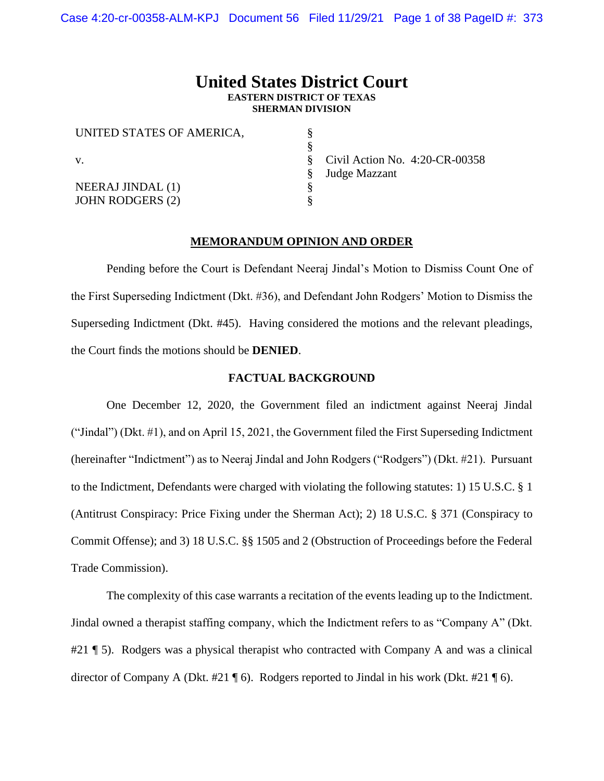# **United States District Court EASTERN DISTRICT OF TEXAS SHERMAN DIVISION**

| UNITED STATES OF AMERICA, |                                   |  |
|---------------------------|-----------------------------------|--|
|                           |                                   |  |
| V.                        | Civil Action No. $4:20$ -CR-00358 |  |
|                           | Judge Mazzant                     |  |
| <b>NEERAJ JINDAL</b> (1)  |                                   |  |
| <b>JOHN RODGERS (2)</b>   |                                   |  |

## **MEMORANDUM OPINION AND ORDER**

Pending before the Court is Defendant Neeraj Jindal's Motion to Dismiss Count One of the First Superseding Indictment (Dkt. #36), and Defendant John Rodgers' Motion to Dismiss the Superseding Indictment (Dkt. #45). Having considered the motions and the relevant pleadings, the Court finds the motions should be **DENIED**.

## **FACTUAL BACKGROUND**

One December 12, 2020, the Government filed an indictment against Neeraj Jindal ("Jindal") (Dkt. #1), and on April 15, 2021, the Government filed the First Superseding Indictment (hereinafter "Indictment") as to Neeraj Jindal and John Rodgers ("Rodgers") (Dkt. #21). Pursuant to the Indictment, Defendants were charged with violating the following statutes: 1) 15 U.S.C. § 1 (Antitrust Conspiracy: Price Fixing under the Sherman Act); 2) 18 U.S.C. § 371 (Conspiracy to Commit Offense); and 3) 18 U.S.C. §§ 1505 and 2 (Obstruction of Proceedings before the Federal Trade Commission).

The complexity of this case warrants a recitation of the events leading up to the Indictment. Jindal owned a therapist staffing company, which the Indictment refers to as "Company A" (Dkt. #21 ¶ 5). Rodgers was a physical therapist who contracted with Company A and was a clinical director of Company A (Dkt. #21  $\P$  6). Rodgers reported to Jindal in his work (Dkt. #21  $\P$  6).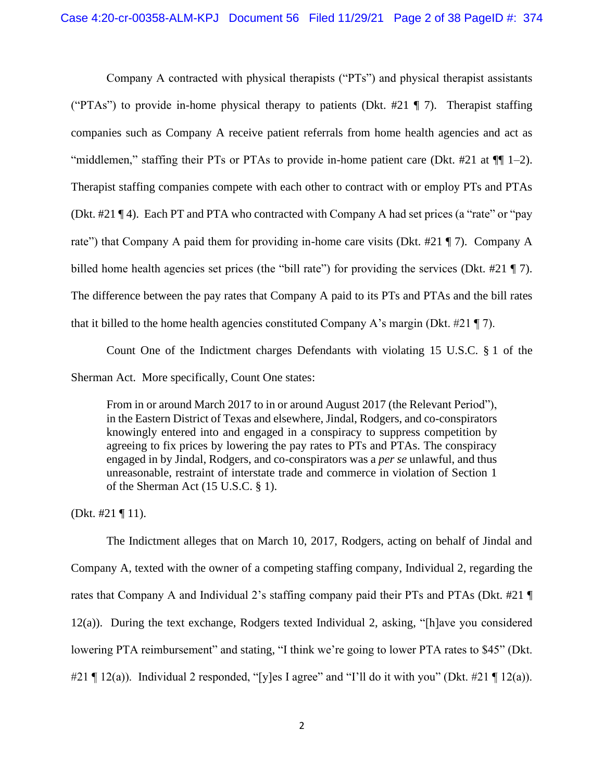Company A contracted with physical therapists ("PTs") and physical therapist assistants ("PTAs") to provide in-home physical therapy to patients (Dkt.  $\#21 \P 7$ ). Therapist staffing companies such as Company A receive patient referrals from home health agencies and act as "middlemen," staffing their PTs or PTAs to provide in-home patient care (Dkt. #21 at  $\P$ [1-2). Therapist staffing companies compete with each other to contract with or employ PTs and PTAs (Dkt. #21 ¶ 4). Each PT and PTA who contracted with Company A had set prices (a "rate" or "pay rate") that Company A paid them for providing in-home care visits (Dkt. #21 ¶ 7). Company A billed home health agencies set prices (the "bill rate") for providing the services (Dkt. #21 ¶ 7). The difference between the pay rates that Company A paid to its PTs and PTAs and the bill rates that it billed to the home health agencies constituted Company A's margin (Dkt. #21 ¶ 7).

Count One of the Indictment charges Defendants with violating 15 U.S.C. § 1 of the Sherman Act. More specifically, Count One states:

From in or around March 2017 to in or around August 2017 (the Relevant Period"), in the Eastern District of Texas and elsewhere, Jindal, Rodgers, and co-conspirators knowingly entered into and engaged in a conspiracy to suppress competition by agreeing to fix prices by lowering the pay rates to PTs and PTAs. The conspiracy engaged in by Jindal, Rodgers, and co-conspirators was a *per se* unlawful, and thus unreasonable, restraint of interstate trade and commerce in violation of Section 1 of the Sherman Act (15 U.S.C. § 1).

(Dkt. #21 ¶ 11).

The Indictment alleges that on March 10, 2017, Rodgers, acting on behalf of Jindal and Company A, texted with the owner of a competing staffing company, Individual 2, regarding the rates that Company A and Individual 2's staffing company paid their PTs and PTAs (Dkt. #21 ¶ 12(a)). During the text exchange, Rodgers texted Individual 2, asking, "[h]ave you considered lowering PTA reimbursement" and stating, "I think we're going to lower PTA rates to \$45" (Dkt. #21  $\P$  12(a)). Individual 2 responded, "[y]es I agree" and "I'll do it with you" (Dkt. #21  $\P$  12(a)).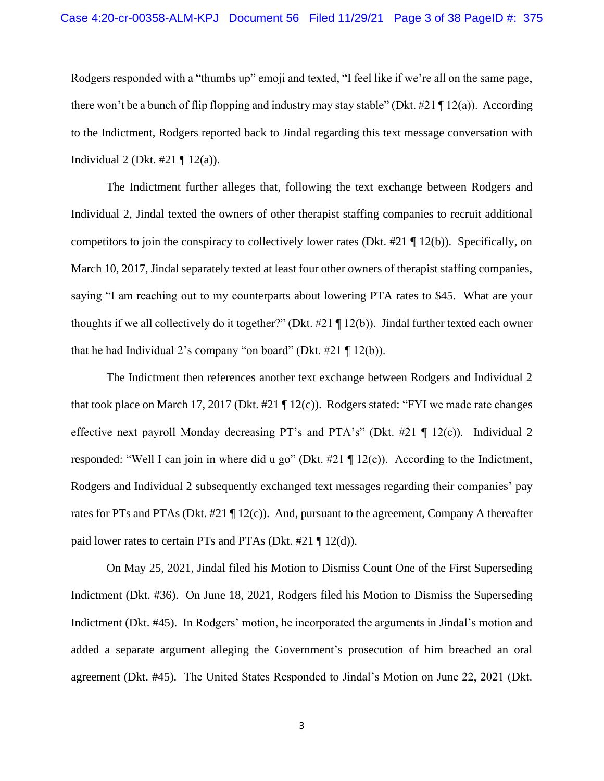Rodgers responded with a "thumbs up" emoji and texted, "I feel like if we're all on the same page, there won't be a bunch of flip flopping and industry may stay stable" (Dkt. #21  $\P$ 12(a)). According to the Indictment, Rodgers reported back to Jindal regarding this text message conversation with Individual 2 (Dkt.  $\#21 \P 12(a)$ ).

The Indictment further alleges that, following the text exchange between Rodgers and Individual 2, Jindal texted the owners of other therapist staffing companies to recruit additional competitors to join the conspiracy to collectively lower rates (Dkt.  $#21 \P 12(b)$ ). Specifically, on March 10, 2017, Jindal separately texted at least four other owners of therapist staffing companies, saying "I am reaching out to my counterparts about lowering PTA rates to \$45. What are your thoughts if we all collectively do it together?" (Dkt. #21 ¶ 12(b)). Jindal further texted each owner that he had Individual 2's company "on board" (Dkt.  $#21 \nparallel 12(b)$ ).

The Indictment then references another text exchange between Rodgers and Individual 2 that took place on March 17, 2017 (Dkt. #21 ¶ 12(c)). Rodgers stated: "FYI we made rate changes effective next payroll Monday decreasing PT's and PTA's" (Dkt. #21 ¶ 12(c)). Individual 2 responded: "Well I can join in where did u go" (Dkt. #21 ¶ 12(c)). According to the Indictment, Rodgers and Individual 2 subsequently exchanged text messages regarding their companies' pay rates for PTs and PTAs (Dkt. #21 ¶ 12(c)). And, pursuant to the agreement, Company A thereafter paid lower rates to certain PTs and PTAs (Dkt.  $#21 \nparallel 12(d)$ ).

On May 25, 2021, Jindal filed his Motion to Dismiss Count One of the First Superseding Indictment (Dkt. #36). On June 18, 2021, Rodgers filed his Motion to Dismiss the Superseding Indictment (Dkt. #45). In Rodgers' motion, he incorporated the arguments in Jindal's motion and added a separate argument alleging the Government's prosecution of him breached an oral agreement (Dkt. #45). The United States Responded to Jindal's Motion on June 22, 2021 (Dkt.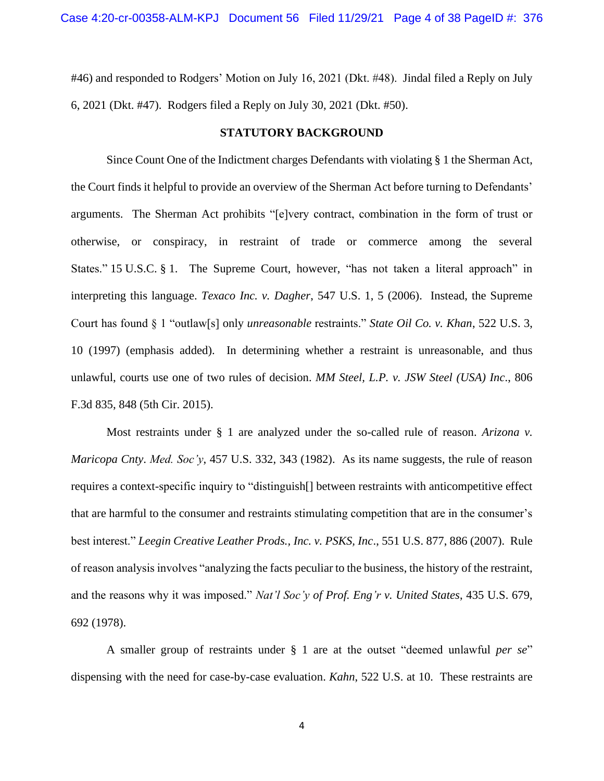#46) and responded to Rodgers' Motion on July 16, 2021 (Dkt. #48). Jindal filed a Reply on July 6, 2021 (Dkt. #47). Rodgers filed a Reply on July 30, 2021 (Dkt. #50).

## **STATUTORY BACKGROUND**

Since Count One of the Indictment charges Defendants with violating § 1 the Sherman Act, the Court finds it helpful to provide an overview of the Sherman Act before turning to Defendants' arguments. The Sherman Act prohibits "[e]very contract, combination in the form of trust or otherwise, or conspiracy, in restraint of trade or commerce among the several States." 15 U.S.C. § 1. The Supreme Court, however, "has not taken a literal approach" in interpreting this language. *Texaco Inc. v. Dagher*, 547 U.S. 1, 5 (2006). Instead, the Supreme Court has found § 1 "outlaw[s] only *unreasonable* restraints." *State Oil Co. v. Khan*, 522 U.S. 3, 10 (1997) (emphasis added). In determining whether a restraint is unreasonable, and thus unlawful, courts use one of two rules of decision. *MM Steel, L.P. v. JSW Steel (USA) Inc*., 806 F.3d 835, 848 (5th Cir. 2015).

Most restraints under § 1 are analyzed under the so-called rule of reason. *Arizona v. Maricopa Cnty*. *Med. Soc'y*, 457 U.S. 332, 343 (1982). As its name suggests, the rule of reason requires a context-specific inquiry to "distinguish[] between restraints with anticompetitive effect that are harmful to the consumer and restraints stimulating competition that are in the consumer's best interest." *Leegin Creative Leather Prods., Inc. v. PSKS, Inc*., 551 U.S. 877, 886 (2007). Rule of reason analysis involves "analyzing the facts peculiar to the business, the history of the restraint, and the reasons why it was imposed." *Nat'l Soc'y of Prof. Eng'r v. United States*, 435 U.S. 679, 692 (1978).

A smaller group of restraints under § 1 are at the outset "deemed unlawful *per se*" dispensing with the need for case-by-case evaluation. *Kahn*, 522 U.S. at 10. These restraints are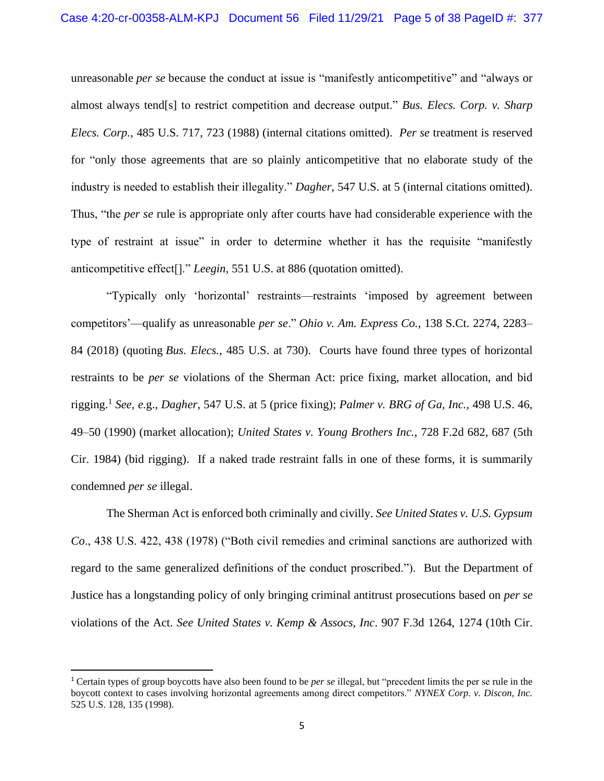unreasonable *per se* because the conduct at issue is "manifestly anticompetitive" and "always or almost always tend[s] to restrict competition and decrease output." *Bus. Elecs. Corp. v. Sharp Elecs. Corp.*, 485 U.S. 717, 723 (1988) (internal citations omitted). *Per se* treatment is reserved for "only those agreements that are so plainly anticompetitive that no elaborate study of the industry is needed to establish their illegality." *Dagher*, 547 U.S. at 5 (internal citations omitted). Thus, "the *per se* rule is appropriate only after courts have had considerable experience with the type of restraint at issue" in order to determine whether it has the requisite "manifestly anticompetitive effect[]." *Leegin*, 551 U.S. at 886 (quotation omitted).

"Typically only 'horizontal' restraints—restraints 'imposed by agreement between competitors'—qualify as unreasonable *per se*." *Ohio v. Am. Express Co.*, 138 S.Ct. 2274, 2283– 84 (2018) (quoting *Bus. Elecs.*, 485 U.S. at 730). Courts have found three types of horizontal restraints to be *per se* violations of the Sherman Act: price fixing, market allocation, and bid rigging. 1 *See, e.*g., *Dagher*, 547 U.S. at 5 (price fixing); *Palmer v. BRG of Ga, Inc.,* 498 U.S. 46, 49–50 (1990) (market allocation); *United States v. Young Brothers Inc.*, 728 F.2d 682, 687 (5th Cir. 1984) (bid rigging). If a naked trade restraint falls in one of these forms, it is summarily condemned *per se* illegal.

The Sherman Act is enforced both criminally and civilly. *See United States v. U.S. Gypsum Co*., 438 U.S. 422, 438 (1978) ("Both civil remedies and criminal sanctions are authorized with regard to the same generalized definitions of the conduct proscribed."). But the Department of Justice has a longstanding policy of only bringing criminal antitrust prosecutions based on *per se* violations of the Act. *See United States v. Kemp & Assocs, Inc*. 907 F.3d 1264, 1274 (10th Cir.

<sup>1</sup> Certain types of group boycotts have also been found to be *per se* illegal, but "precedent limits the per se rule in the boycott context to cases involving horizontal agreements among direct competitors." *NYNEX Corp. v. Discon, Inc.* 525 U.S. 128, 135 (1998).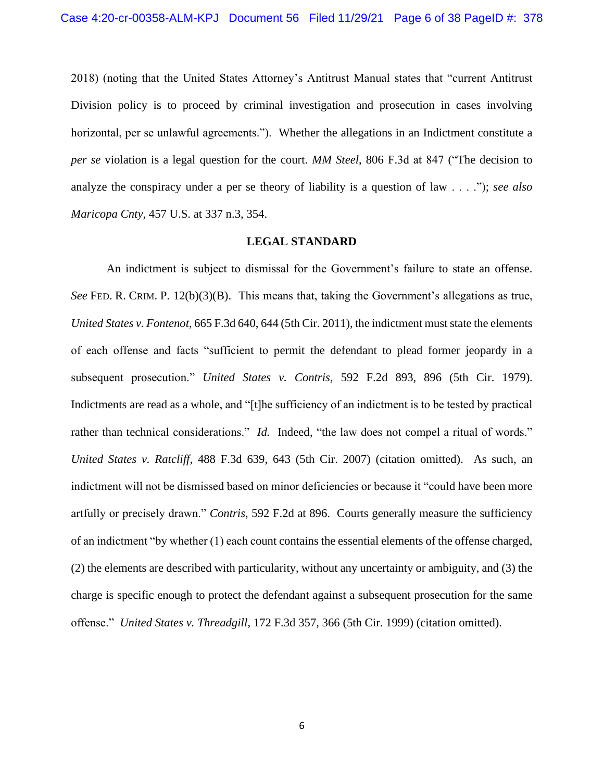2018) (noting that the United States Attorney's Antitrust Manual states that "current Antitrust Division policy is to proceed by criminal investigation and prosecution in cases involving horizontal, per se unlawful agreements."). Whether the allegations in an Indictment constitute a *per se* violation is a legal question for the court. *MM Steel*, 806 F.3d at 847 ("The decision to analyze the conspiracy under a per se theory of liability is a question of law . . . ."); *see also Maricopa Cnty*, 457 U.S. at 337 n.3, 354.

## **LEGAL STANDARD**

An indictment is subject to dismissal for the Government's failure to state an offense. *See* FED. R. CRIM. P. 12(b)(3)(B). This means that, taking the Government's allegations as true, *United States v. Fontenot*, 665 F.3d 640, 644 (5th Cir. 2011), the indictment must state the elements of each offense and facts "sufficient to permit the defendant to plead former jeopardy in a subsequent prosecution." *United States v. Contris*, 592 F.2d 893, 896 (5th Cir. 1979). Indictments are read as a whole, and "[t]he sufficiency of an indictment is to be tested by practical rather than technical considerations." *Id.* Indeed, "the law does not compel a ritual of words." *United States v. Ratcliff*, 488 F.3d 639, 643 (5th Cir. 2007) (citation omitted). As such, an indictment will not be dismissed based on minor deficiencies or because it "could have been more artfully or precisely drawn." *Contris*, 592 F.2d at 896. Courts generally measure the sufficiency of an indictment "by whether (1) each count contains the essential elements of the offense charged, (2) the elements are described with particularity, without any uncertainty or ambiguity, and (3) the charge is specific enough to protect the defendant against a subsequent prosecution for the same offense." *United States v. Threadgill*, 172 F.3d 357, 366 (5th Cir. 1999) (citation omitted).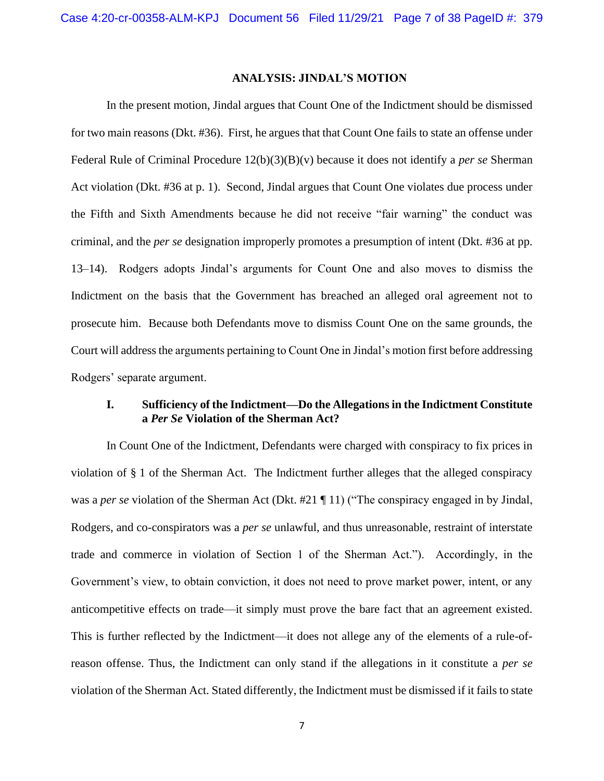#### **ANALYSIS: JINDAL'S MOTION**

In the present motion, Jindal argues that Count One of the Indictment should be dismissed for two main reasons (Dkt. #36). First, he argues that that Count One fails to state an offense under Federal Rule of Criminal Procedure 12(b)(3)(B)(v) because it does not identify a *per se* Sherman Act violation (Dkt. #36 at p. 1). Second, Jindal argues that Count One violates due process under the Fifth and Sixth Amendments because he did not receive "fair warning" the conduct was criminal, and the *per se* designation improperly promotes a presumption of intent (Dkt. #36 at pp. 13–14). Rodgers adopts Jindal's arguments for Count One and also moves to dismiss the Indictment on the basis that the Government has breached an alleged oral agreement not to prosecute him. Because both Defendants move to dismiss Count One on the same grounds, the Court will address the arguments pertaining to Count One in Jindal's motion first before addressing Rodgers' separate argument.

# **I. Sufficiency of the Indictment—Do the Allegations in the Indictment Constitute a** *Per Se* **Violation of the Sherman Act?**

In Count One of the Indictment, Defendants were charged with conspiracy to fix prices in violation of § 1 of the Sherman Act. The Indictment further alleges that the alleged conspiracy was a *per se* violation of the Sherman Act (Dkt. #21 ¶ 11) ("The conspiracy engaged in by Jindal, Rodgers, and co-conspirators was a *per se* unlawful, and thus unreasonable, restraint of interstate trade and commerce in violation of Section 1 of the Sherman Act."). Accordingly, in the Government's view, to obtain conviction, it does not need to prove market power, intent, or any anticompetitive effects on trade—it simply must prove the bare fact that an agreement existed. This is further reflected by the Indictment—it does not allege any of the elements of a rule-ofreason offense. Thus, the Indictment can only stand if the allegations in it constitute a *per se* violation of the Sherman Act. Stated differently, the Indictment must be dismissed if it fails to state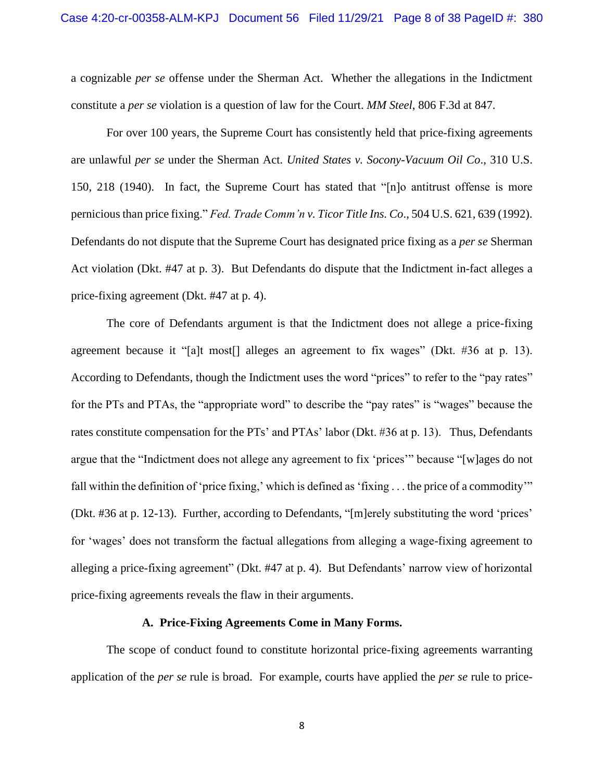a cognizable *per se* offense under the Sherman Act. Whether the allegations in the Indictment constitute a *per se* violation is a question of law for the Court. *MM Steel*, 806 F.3d at 847.

For over 100 years, the Supreme Court has consistently held that price-fixing agreements are unlawful *per se* under the Sherman Act. *United States v. Socony-Vacuum Oil Co*., 310 U.S. 150, 218 (1940). In fact, the Supreme Court has stated that "[n]o antitrust offense is more pernicious than price fixing." *Fed. Trade Comm'n v. Ticor Title Ins. Co*., 504 U.S. 621, 639 (1992). Defendants do not dispute that the Supreme Court has designated price fixing as a *per se* Sherman Act violation (Dkt. #47 at p. 3). But Defendants do dispute that the Indictment in-fact alleges a price-fixing agreement (Dkt. #47 at p. 4).

The core of Defendants argument is that the Indictment does not allege a price-fixing agreement because it "[a]t most[] alleges an agreement to fix wages" (Dkt. #36 at p. 13). According to Defendants, though the Indictment uses the word "prices" to refer to the "pay rates" for the PTs and PTAs, the "appropriate word" to describe the "pay rates" is "wages" because the rates constitute compensation for the PTs' and PTAs' labor (Dkt. #36 at p. 13). Thus, Defendants argue that the "Indictment does not allege any agreement to fix 'prices'" because "[w]ages do not fall within the definition of 'price fixing,' which is defined as 'fixing . . . the price of a commodity'" (Dkt. #36 at p. 12-13). Further, according to Defendants, "[m]erely substituting the word 'prices' for 'wages' does not transform the factual allegations from alleging a wage-fixing agreement to alleging a price-fixing agreement" (Dkt. #47 at p. 4). But Defendants' narrow view of horizontal price-fixing agreements reveals the flaw in their arguments.

#### **A. Price-Fixing Agreements Come in Many Forms.**

The scope of conduct found to constitute horizontal price-fixing agreements warranting application of the *per se* rule is broad. For example, courts have applied the *per se* rule to price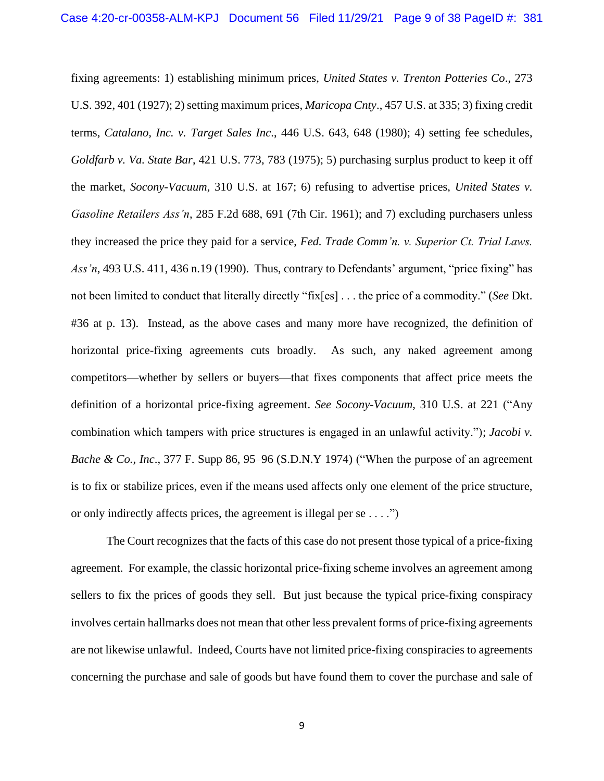fixing agreements: 1) establishing minimum prices, *United States v. Trenton Potteries Co*., 273 U.S. 392, 401 (1927); 2) setting maximum prices, *Maricopa Cnty*., 457 U.S. at 335; 3) fixing credit terms, *Catalano, Inc. v. Target Sales Inc*., 446 U.S. 643, 648 (1980); 4) setting fee schedules, *Goldfarb v. Va. State Bar*, 421 U.S. 773, 783 (1975); 5) purchasing surplus product to keep it off the market, *Socony-Vacuum*, 310 U.S. at 167; 6) refusing to advertise prices, *United States v. Gasoline Retailers Ass'n*, 285 F.2d 688, 691 (7th Cir. 1961); and 7) excluding purchasers unless they increased the price they paid for a service, *Fed. Trade Comm'n. v. Superior Ct. Trial Laws. Ass'n*, 493 U.S. 411, 436 n.19 (1990). Thus, contrary to Defendants' argument, "price fixing" has not been limited to conduct that literally directly "fix[es] . . . the price of a commodity." (*See* Dkt. #36 at p. 13). Instead, as the above cases and many more have recognized, the definition of horizontal price-fixing agreements cuts broadly. As such, any naked agreement among competitors—whether by sellers or buyers—that fixes components that affect price meets the definition of a horizontal price-fixing agreement. *See Socony-Vacuum*, 310 U.S. at 221 ("Any combination which tampers with price structures is engaged in an unlawful activity."); *Jacobi v. Bache & Co., Inc.*, 377 F. Supp 86, 95–96 (S.D.N.Y 1974) ("When the purpose of an agreement is to fix or stabilize prices, even if the means used affects only one element of the price structure, or only indirectly affects prices, the agreement is illegal per se . . . .")

The Court recognizes that the facts of this case do not present those typical of a price-fixing agreement. For example, the classic horizontal price-fixing scheme involves an agreement among sellers to fix the prices of goods they sell. But just because the typical price-fixing conspiracy involves certain hallmarks does not mean that other less prevalent forms of price-fixing agreements are not likewise unlawful. Indeed, Courts have not limited price-fixing conspiracies to agreements concerning the purchase and sale of goods but have found them to cover the purchase and sale of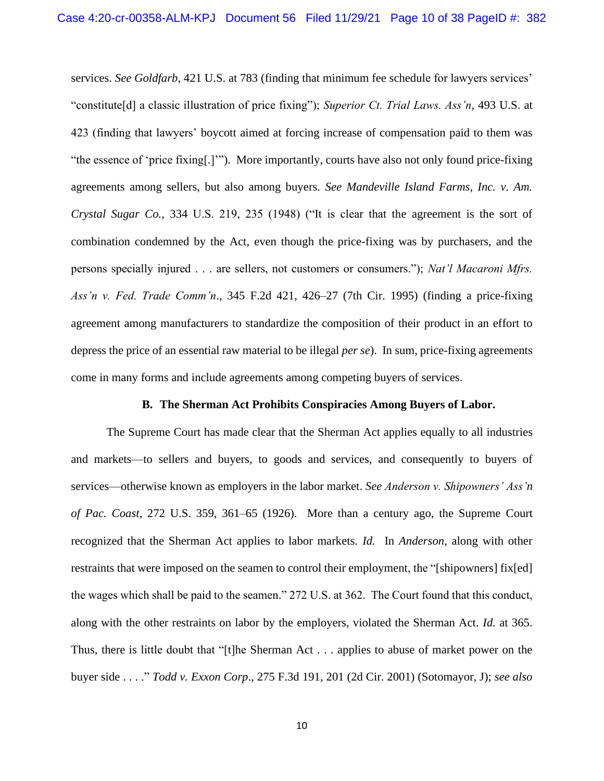services. *See Goldfarb*, 421 U.S. at 783 (finding that minimum fee schedule for lawyers services' "constitute[d] a classic illustration of price fixing"); *Superior Ct. Trial Laws. Ass'n*, 493 U.S. at 423 (finding that lawyers' boycott aimed at forcing increase of compensation paid to them was "the essence of 'price fixing[.]'"). More importantly, courts have also not only found price-fixing agreements among sellers, but also among buyers. *See Mandeville Island Farms, Inc. v. Am. Crystal Sugar Co.,* 334 U.S. 219, 235 (1948) ("It is clear that the agreement is the sort of combination condemned by the Act, even though the price-fixing was by purchasers, and the persons specially injured . . . are sellers, not customers or consumers."); *Nat'l Macaroni Mfrs. Ass'n v. Fed. Trade Comm'n*., 345 F.2d 421, 426–27 (7th Cir. 1995) (finding a price-fixing agreement among manufacturers to standardize the composition of their product in an effort to depress the price of an essential raw material to be illegal *per se*). In sum, price-fixing agreements come in many forms and include agreements among competing buyers of services.

## **B. The Sherman Act Prohibits Conspiracies Among Buyers of Labor.**

The Supreme Court has made clear that the Sherman Act applies equally to all industries and markets—to sellers and buyers, to goods and services, and consequently to buyers of services—otherwise known as employers in the labor market. *See Anderson v. Shipowners' Ass'n of Pac. Coast*, 272 U.S. 359, 361–65 (1926). More than a century ago, the Supreme Court recognized that the Sherman Act applies to labor markets. *Id.* In *Anderson*, along with other restraints that were imposed on the seamen to control their employment, the "[shipowners] fix[ed] the wages which shall be paid to the seamen." 272 U.S. at 362. The Court found that this conduct, along with the other restraints on labor by the employers, violated the Sherman Act. *Id.* at 365. Thus, there is little doubt that "[t]he Sherman Act . . . applies to abuse of market power on the buyer side . . . ." *Todd v. Exxon Corp*., 275 F.3d 191, 201 (2d Cir. 2001) (Sotomayor, J); *see also*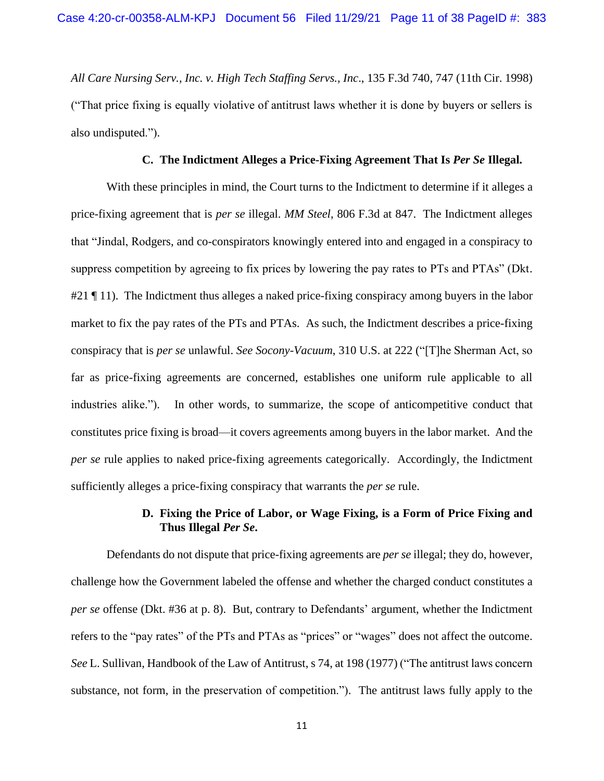*All Care Nursing Serv., Inc. v. High Tech Staffing Servs., Inc*., 135 F.3d 740, 747 (11th Cir. 1998) ("That price fixing is equally violative of antitrust laws whether it is done by buyers or sellers is also undisputed.").

## **C. The Indictment Alleges a Price-Fixing Agreement That Is** *Per Se* **Illegal.**

With these principles in mind, the Court turns to the Indictment to determine if it alleges a price-fixing agreement that is *per se* illegal. *MM Steel*, 806 F.3d at 847. The Indictment alleges that "Jindal, Rodgers, and co-conspirators knowingly entered into and engaged in a conspiracy to suppress competition by agreeing to fix prices by lowering the pay rates to PTs and PTAs" (Dkt. #21 ¶ 11). The Indictment thus alleges a naked price-fixing conspiracy among buyers in the labor market to fix the pay rates of the PTs and PTAs. As such, the Indictment describes a price-fixing conspiracy that is *per se* unlawful. *See Socony-Vacuum*, 310 U.S. at 222 ("[T]he Sherman Act, so far as price-fixing agreements are concerned, establishes one uniform rule applicable to all industries alike."). In other words, to summarize, the scope of anticompetitive conduct that constitutes price fixing is broad—it covers agreements among buyers in the labor market. And the *per se* rule applies to naked price-fixing agreements categorically. Accordingly, the Indictment sufficiently alleges a price-fixing conspiracy that warrants the *per se* rule.

# **D. Fixing the Price of Labor, or Wage Fixing, is a Form of Price Fixing and Thus Illegal** *Per Se***.**

Defendants do not dispute that price-fixing agreements are *per se* illegal; they do, however, challenge how the Government labeled the offense and whether the charged conduct constitutes a *per se* offense (Dkt. #36 at p. 8). But, contrary to Defendants' argument, whether the Indictment refers to the "pay rates" of the PTs and PTAs as "prices" or "wages" does not affect the outcome. *See* L. Sullivan, Handbook of the Law of Antitrust, s 74, at 198 (1977) ("The antitrust laws concern substance, not form, in the preservation of competition."). The antitrust laws fully apply to the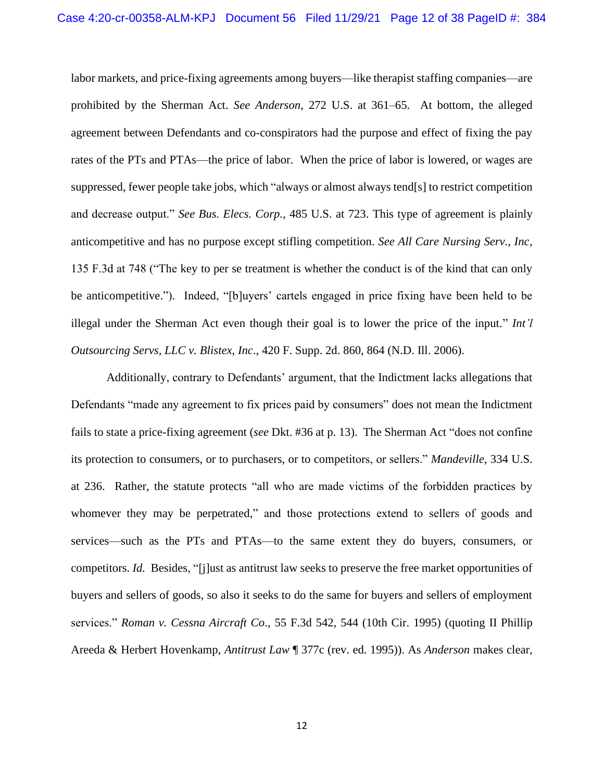labor markets, and price-fixing agreements among buyers—like therapist staffing companies—are prohibited by the Sherman Act. *See Anderson*, 272 U.S. at 361–65. At bottom, the alleged agreement between Defendants and co-conspirators had the purpose and effect of fixing the pay rates of the PTs and PTAs—the price of labor. When the price of labor is lowered, or wages are suppressed, fewer people take jobs, which "always or almost always tend[s] to restrict competition and decrease output." *See Bus. Elecs. Corp.*, 485 U.S. at 723. This type of agreement is plainly anticompetitive and has no purpose except stifling competition. *See All Care Nursing Serv., Inc,*  135 F.3d at 748 ("The key to per se treatment is whether the conduct is of the kind that can only be anticompetitive."). Indeed, "[b]uyers' cartels engaged in price fixing have been held to be illegal under the Sherman Act even though their goal is to lower the price of the input." *Int'l Outsourcing Servs, LLC v. Blistex, Inc*., 420 F. Supp. 2d. 860, 864 (N.D. Ill. 2006).

Additionally, contrary to Defendants' argument, that the Indictment lacks allegations that Defendants "made any agreement to fix prices paid by consumers" does not mean the Indictment fails to state a price-fixing agreement (*see* Dkt. #36 at p. 13). The Sherman Act "does not confine its protection to consumers, or to purchasers, or to competitors, or sellers." *Mandeville*, 334 U.S. at 236. Rather, the statute protects "all who are made victims of the forbidden practices by whomever they may be perpetrated," and those protections extend to sellers of goods and services—such as the PTs and PTAs—to the same extent they do buyers, consumers, or competitors. *Id.* Besides, "[j]ust as antitrust law seeks to preserve the free market opportunities of buyers and sellers of goods, so also it seeks to do the same for buyers and sellers of employment services." *Roman v. Cessna Aircraft Co*., 55 F.3d 542, 544 (10th Cir. 1995) (quoting II Phillip Areeda & Herbert Hovenkamp, *Antitrust Law* ¶ 377c (rev. ed. 1995)). As *Anderson* makes clear,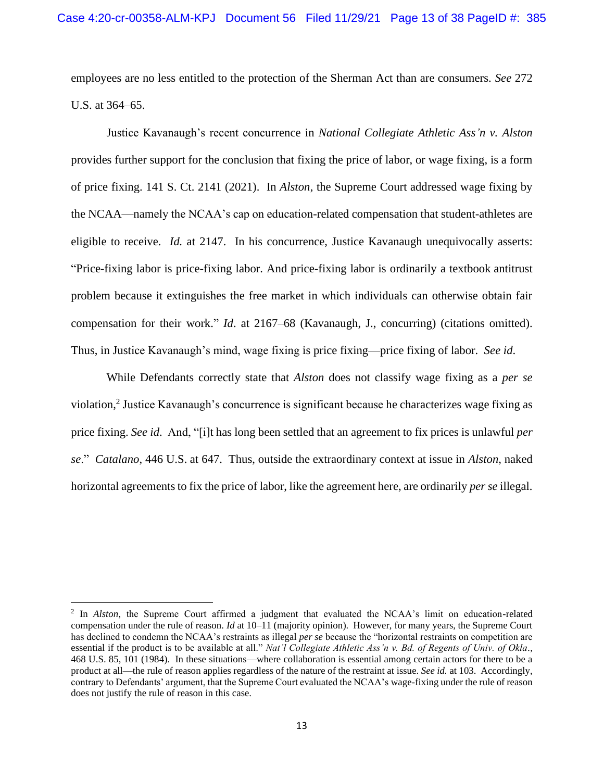employees are no less entitled to the protection of the Sherman Act than are consumers. *See* 272 U.S. at 364–65.

Justice Kavanaugh's recent concurrence in *National Collegiate Athletic Ass'n v. Alston* provides further support for the conclusion that fixing the price of labor, or wage fixing, is a form of price fixing. 141 S. Ct. 2141 (2021). In *Alston*, the Supreme Court addressed wage fixing by the NCAA—namely the NCAA's cap on education-related compensation that student-athletes are eligible to receive. *Id.* at 2147. In his concurrence, Justice Kavanaugh unequivocally asserts: "Price-fixing labor is price-fixing labor. And price-fixing labor is ordinarily a textbook antitrust problem because it extinguishes the free market in which individuals can otherwise obtain fair compensation for their work." *Id*. at 2167–68 (Kavanaugh, J., concurring) (citations omitted). Thus, in Justice Kavanaugh's mind, wage fixing is price fixing—price fixing of labor. *See id*.

While Defendants correctly state that *Alston* does not classify wage fixing as a *per se* violation, 2 Justice Kavanaugh's concurrence is significant because he characterizes wage fixing as price fixing. *See id*. And, "[i]t has long been settled that an agreement to fix prices is unlawful *per se*." *Catalano*, 446 U.S. at 647. Thus, outside the extraordinary context at issue in *Alston*, naked horizontal agreements to fix the price of labor, like the agreement here, are ordinarily *per se* illegal.

<sup>&</sup>lt;sup>2</sup> In *Alston*, the Supreme Court affirmed a judgment that evaluated the NCAA's limit on education-related compensation under the rule of reason. *Id* at 10–11 (majority opinion). However, for many years, the Supreme Court has declined to condemn the NCAA's restraints as illegal *per se* because the "horizontal restraints on competition are essential if the product is to be available at all." *Nat'l Collegiate Athletic Ass'n v. Bd. of Regents of Univ. of Okla.,*  468 U.S. 85, 101 (1984). In these situations—where collaboration is essential among certain actors for there to be a product at all—the rule of reason applies regardless of the nature of the restraint at issue. *See id.* at 103. Accordingly, contrary to Defendants' argument, that the Supreme Court evaluated the NCAA's wage-fixing under the rule of reason does not justify the rule of reason in this case.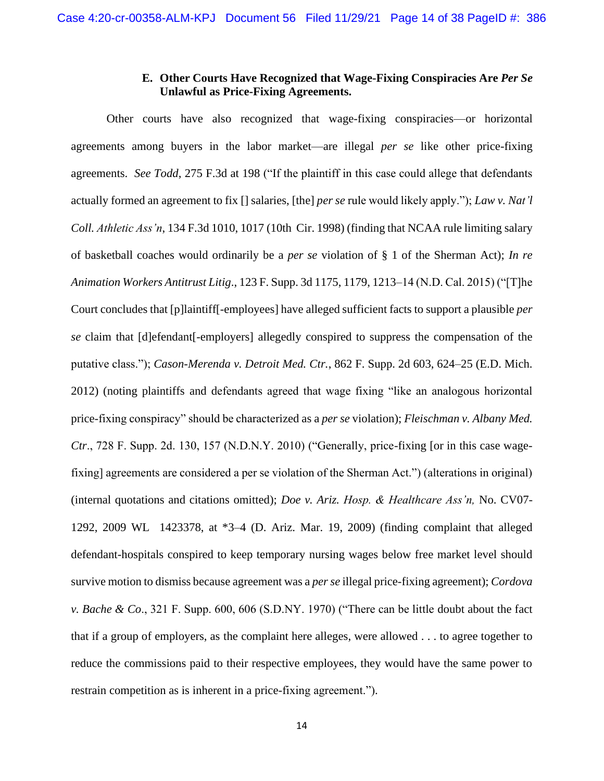# **E. Other Courts Have Recognized that Wage-Fixing Conspiracies Are** *Per Se* **Unlawful as Price-Fixing Agreements.**

Other courts have also recognized that wage-fixing conspiracies—or horizontal agreements among buyers in the labor market—are illegal *per se* like other price-fixing agreements. *See Todd*, 275 F.3d at 198 ("If the plaintiff in this case could allege that defendants actually formed an agreement to fix [] salaries, [the] *per se* rule would likely apply."); *Law v. Nat'l Coll. Athletic Ass'n*, 134 F.3d 1010, 1017 (10th Cir. 1998) (finding that NCAA rule limiting salary of basketball coaches would ordinarily be a *per se* violation of § 1 of the Sherman Act); *In re Animation Workers Antitrust Litig*., 123 F. Supp. 3d 1175, 1179, 1213–14 (N.D. Cal. 2015) ("[T]he Court concludes that [p]laintiff[-employees] have alleged sufficient facts to support a plausible *per se* claim that [d]efendant[-employers] allegedly conspired to suppress the compensation of the putative class."); *Cason-Merenda v. Detroit Med. Ctr.*, 862 F. Supp. 2d 603, 624–25 (E.D. Mich. 2012) (noting plaintiffs and defendants agreed that wage fixing "like an analogous horizontal price-fixing conspiracy" should be characterized as a *per se* violation); *Fleischman v. Albany Med. Ctr*., 728 F. Supp. 2d. 130, 157 (N.D.N.Y. 2010) ("Generally, price-fixing [or in this case wagefixing] agreements are considered a per se violation of the Sherman Act.") (alterations in original) (internal quotations and citations omitted); *Doe v. Ariz. Hosp. & Healthcare Ass'n,* No. CV07- 1292, 2009 WL 1423378, at \*3–4 (D. Ariz. Mar. 19, 2009) (finding complaint that alleged defendant-hospitals conspired to keep temporary nursing wages below free market level should survive motion to dismiss because agreement was a *per se* illegal price-fixing agreement); *Cordova v. Bache & Co*., 321 F. Supp. 600, 606 (S.D.NY. 1970) ("There can be little doubt about the fact that if a group of employers, as the complaint here alleges, were allowed . . . to agree together to reduce the commissions paid to their respective employees, they would have the same power to restrain competition as is inherent in a price-fixing agreement.").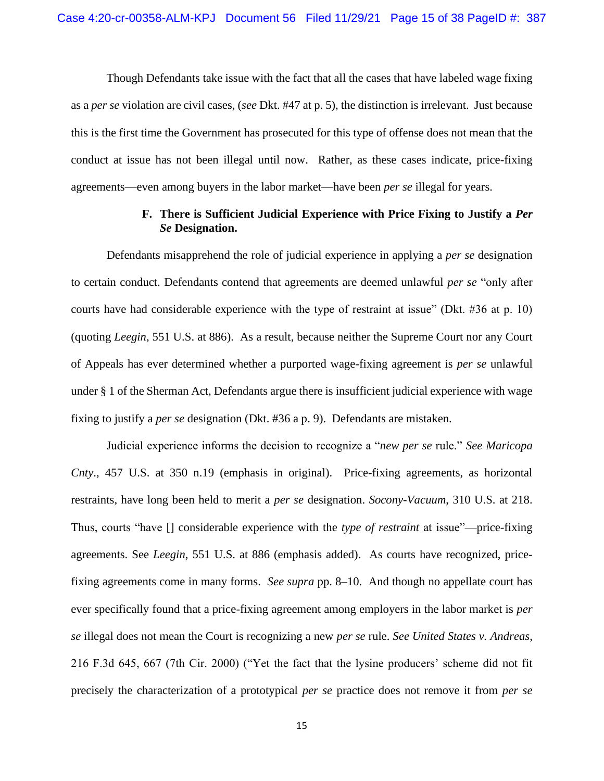Though Defendants take issue with the fact that all the cases that have labeled wage fixing as a *per se* violation are civil cases, (*see* Dkt. #47 at p. 5), the distinction is irrelevant. Just because this is the first time the Government has prosecuted for this type of offense does not mean that the conduct at issue has not been illegal until now. Rather, as these cases indicate, price-fixing agreements—even among buyers in the labor market—have been *per se* illegal for years.

# **F. There is Sufficient Judicial Experience with Price Fixing to Justify a** *Per Se* **Designation.**

Defendants misapprehend the role of judicial experience in applying a *per se* designation to certain conduct. Defendants contend that agreements are deemed unlawful *per se* "only after courts have had considerable experience with the type of restraint at issue" (Dkt. #36 at p. 10) (quoting *Leegin*, 551 U.S. at 886). As a result, because neither the Supreme Court nor any Court of Appeals has ever determined whether a purported wage-fixing agreement is *per se* unlawful under § 1 of the Sherman Act, Defendants argue there is insufficient judicial experience with wage fixing to justify a *per se* designation (Dkt. #36 a p. 9). Defendants are mistaken.

Judicial experience informs the decision to recognize a "*new per se* rule." *See Maricopa Cnty*., 457 U.S. at 350 n.19 (emphasis in original). Price-fixing agreements, as horizontal restraints, have long been held to merit a *per se* designation. *Socony-Vacuum*, 310 U.S. at 218. Thus, courts "have [] considerable experience with the *type of restraint* at issue"—price-fixing agreements. See *Leegin*, 551 U.S. at 886 (emphasis added). As courts have recognized, pricefixing agreements come in many forms. *See supra* pp. 8–10. And though no appellate court has ever specifically found that a price-fixing agreement among employers in the labor market is *per se* illegal does not mean the Court is recognizing a new *per se* rule. *See United States v. Andreas*, 216 F.3d 645, 667 (7th Cir. 2000) ("Yet the fact that the lysine producers' scheme did not fit precisely the characterization of a prototypical *per se* practice does not remove it from *per se*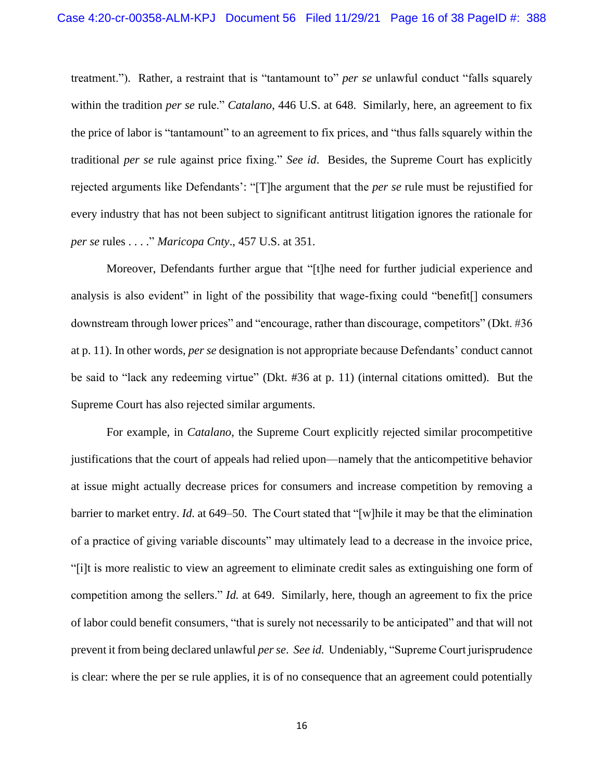treatment."). Rather, a restraint that is "tantamount to" *per se* unlawful conduct "falls squarely within the tradition *per se* rule." *Catalano*, 446 U.S. at 648. Similarly, here, an agreement to fix the price of labor is "tantamount" to an agreement to fix prices, and "thus falls squarely within the traditional *per se* rule against price fixing." *See id*. Besides, the Supreme Court has explicitly rejected arguments like Defendants': "[T]he argument that the *per se* rule must be rejustified for every industry that has not been subject to significant antitrust litigation ignores the rationale for *per se* rules . . . ." *Maricopa Cnty*., 457 U.S. at 351.

Moreover, Defendants further argue that "[t]he need for further judicial experience and analysis is also evident" in light of the possibility that wage-fixing could "benefit[] consumers downstream through lower prices" and "encourage, rather than discourage, competitors" (Dkt. #36 at p. 11). In other words, *per se* designation is not appropriate because Defendants' conduct cannot be said to "lack any redeeming virtue" (Dkt. #36 at p. 11) (internal citations omitted). But the Supreme Court has also rejected similar arguments.

For example, in *Catalano*, the Supreme Court explicitly rejected similar procompetitive justifications that the court of appeals had relied upon—namely that the anticompetitive behavior at issue might actually decrease prices for consumers and increase competition by removing a barrier to market entry. *Id.* at 649–50. The Court stated that "[w]hile it may be that the elimination of a practice of giving variable discounts" may ultimately lead to a decrease in the invoice price, "[i]t is more realistic to view an agreement to eliminate credit sales as extinguishing one form of competition among the sellers." *Id.* at 649. Similarly, here, though an agreement to fix the price of labor could benefit consumers, "that is surely not necessarily to be anticipated" and that will not prevent it from being declared unlawful *per se*. *See id.* Undeniably, "Supreme Court jurisprudence is clear: where the per se rule applies, it is of no consequence that an agreement could potentially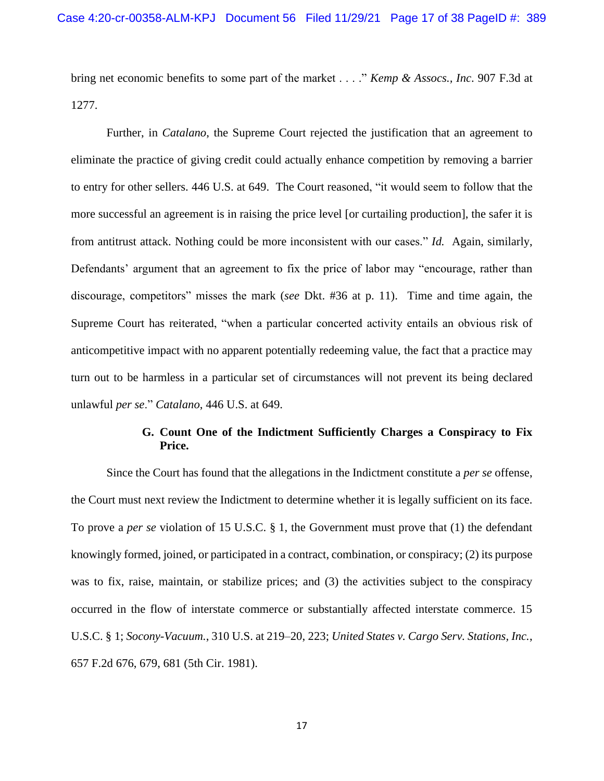bring net economic benefits to some part of the market . . . ." *Kemp & Assocs., Inc*. 907 F.3d at 1277.

Further, in *Catalano*, the Supreme Court rejected the justification that an agreement to eliminate the practice of giving credit could actually enhance competition by removing a barrier to entry for other sellers. 446 U.S. at 649. The Court reasoned, "it would seem to follow that the more successful an agreement is in raising the price level [or curtailing production], the safer it is from antitrust attack. Nothing could be more inconsistent with our cases." *Id.* Again, similarly, Defendants' argument that an agreement to fix the price of labor may "encourage, rather than discourage, competitors" misses the mark (*see* Dkt. #36 at p. 11). Time and time again, the Supreme Court has reiterated, "when a particular concerted activity entails an obvious risk of anticompetitive impact with no apparent potentially redeeming value, the fact that a practice may turn out to be harmless in a particular set of circumstances will not prevent its being declared unlawful *per se*." *Catalano*, 446 U.S. at 649.

# **G. Count One of the Indictment Sufficiently Charges a Conspiracy to Fix Price.**

Since the Court has found that the allegations in the Indictment constitute a *per se* offense, the Court must next review the Indictment to determine whether it is legally sufficient on its face. To prove a *per se* violation of 15 U.S.C. § 1, the Government must prove that (1) the defendant knowingly formed, joined, or participated in a contract, combination, or conspiracy; (2) its purpose was to fix, raise, maintain, or stabilize prices; and (3) the activities subject to the conspiracy occurred in the flow of interstate commerce or substantially affected interstate commerce. 15 U.S.C. § 1; *Socony-Vacuum.*, 310 U.S. at 219–20, 223; *United States v. Cargo Serv. Stations, Inc.*, 657 F.2d 676, 679, 681 (5th Cir. 1981).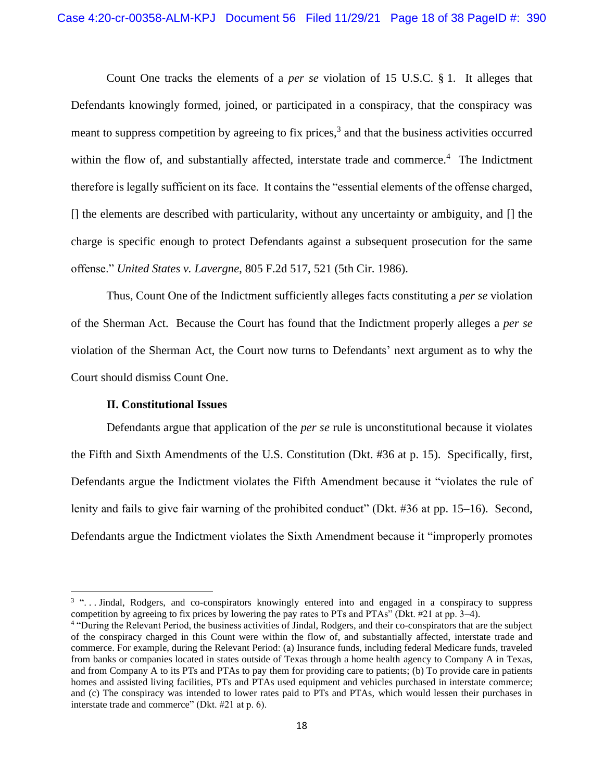Count One tracks the elements of a *per se* violation of 15 U.S.C. § 1. It alleges that Defendants knowingly formed, joined, or participated in a conspiracy, that the conspiracy was meant to suppress competition by agreeing to fix prices,<sup>3</sup> and that the business activities occurred within the flow of, and substantially affected, interstate trade and commerce.<sup>4</sup> The Indictment therefore is legally sufficient on its face. It contains the "essential elements of the offense charged, [] the elements are described with particularity, without any uncertainty or ambiguity, and [] the charge is specific enough to protect Defendants against a subsequent prosecution for the same offense." *United States v. Lavergne*, 805 F.2d 517, 521 (5th Cir. 1986).

Thus, Count One of the Indictment sufficiently alleges facts constituting a *per se* violation of the Sherman Act. Because the Court has found that the Indictment properly alleges a *per se*  violation of the Sherman Act, the Court now turns to Defendants' next argument as to why the Court should dismiss Count One.

## **II. Constitutional Issues**

Defendants argue that application of the *per se* rule is unconstitutional because it violates the Fifth and Sixth Amendments of the U.S. Constitution (Dkt. #36 at p. 15). Specifically, first, Defendants argue the Indictment violates the Fifth Amendment because it "violates the rule of lenity and fails to give fair warning of the prohibited conduct" (Dkt. #36 at pp. 15–16). Second, Defendants argue the Indictment violates the Sixth Amendment because it "improperly promotes

<sup>&</sup>lt;sup>3</sup> "... Jindal, Rodgers, and co-conspirators knowingly entered into and engaged in a conspiracy to suppress competition by agreeing to fix prices by lowering the pay rates to PTs and PTAs" (Dkt. #21 at pp. 3–4).

<sup>&</sup>lt;sup>4</sup> "During the Relevant Period, the business activities of Jindal, Rodgers, and their co-conspirators that are the subject of the conspiracy charged in this Count were within the flow of, and substantially affected, interstate trade and commerce. For example, during the Relevant Period: (a) Insurance funds, including federal Medicare funds, traveled from banks or companies located in states outside of Texas through a home health agency to Company A in Texas, and from Company A to its PTs and PTAs to pay them for providing care to patients; (b) To provide care in patients homes and assisted living facilities, PTs and PTAs used equipment and vehicles purchased in interstate commerce; and (c) The conspiracy was intended to lower rates paid to PTs and PTAs, which would lessen their purchases in interstate trade and commerce" (Dkt. #21 at p. 6).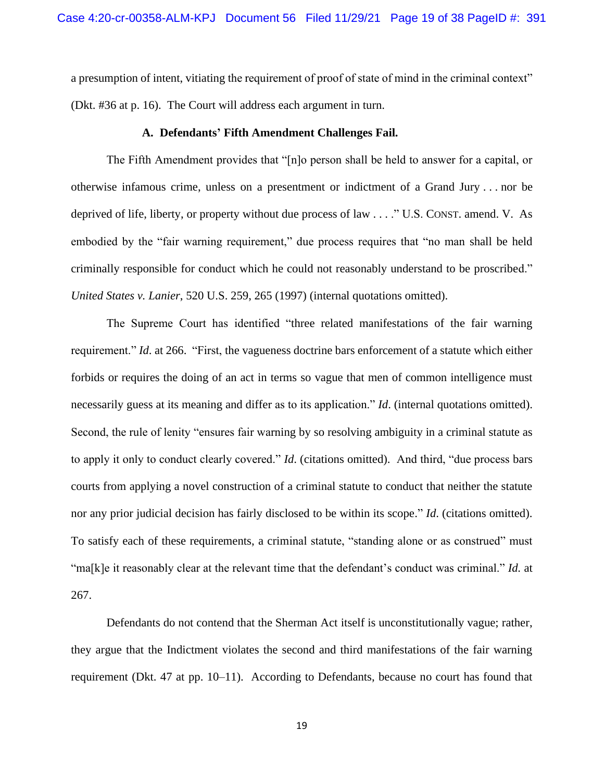a presumption of intent, vitiating the requirement of proof of state of mind in the criminal context" (Dkt. #36 at p. 16). The Court will address each argument in turn.

#### **A. Defendants' Fifth Amendment Challenges Fail.**

The Fifth Amendment provides that "[n]o person shall be held to answer for a capital, or otherwise infamous crime, unless on a presentment or indictment of a Grand Jury . . . nor be deprived of life, liberty, or property without due process of law . . . ." U.S. CONST. amend. V. As embodied by the "fair warning requirement," due process requires that "no man shall be held criminally responsible for conduct which he could not reasonably understand to be proscribed." *United States v. Lanier*, 520 U.S. 259, 265 (1997) (internal quotations omitted).

The Supreme Court has identified "three related manifestations of the fair warning requirement." *Id*. at 266. "First, the vagueness doctrine bars enforcement of a statute which either forbids or requires the doing of an act in terms so vague that men of common intelligence must necessarily guess at its meaning and differ as to its application." *Id*. (internal quotations omitted). Second, the rule of lenity "ensures fair warning by so resolving ambiguity in a criminal statute as to apply it only to conduct clearly covered." *Id*. (citations omitted). And third, "due process bars courts from applying a novel construction of a criminal statute to conduct that neither the statute nor any prior judicial decision has fairly disclosed to be within its scope." *Id*. (citations omitted). To satisfy each of these requirements, a criminal statute, "standing alone or as construed" must "ma[k]e it reasonably clear at the relevant time that the defendant's conduct was criminal." *Id.* at 267.

Defendants do not contend that the Sherman Act itself is unconstitutionally vague; rather, they argue that the Indictment violates the second and third manifestations of the fair warning requirement (Dkt. 47 at pp. 10–11). According to Defendants, because no court has found that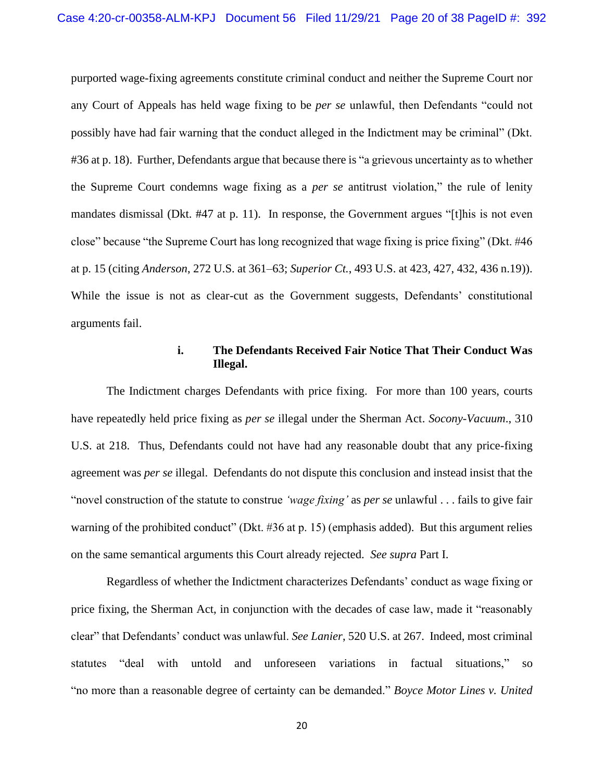purported wage-fixing agreements constitute criminal conduct and neither the Supreme Court nor any Court of Appeals has held wage fixing to be *per se* unlawful, then Defendants "could not possibly have had fair warning that the conduct alleged in the Indictment may be criminal" (Dkt. #36 at p. 18). Further, Defendants argue that because there is "a grievous uncertainty as to whether the Supreme Court condemns wage fixing as a *per se* antitrust violation," the rule of lenity mandates dismissal (Dkt. #47 at p. 11). In response, the Government argues "[t]his is not even close" because "the Supreme Court has long recognized that wage fixing is price fixing" (Dkt. #46 at p. 15 (citing *Anderson*, 272 U.S. at 361–63; *Superior Ct.*, 493 U.S. at 423, 427, 432, 436 n.19)). While the issue is not as clear-cut as the Government suggests, Defendants' constitutional arguments fail.

## **i. The Defendants Received Fair Notice That Their Conduct Was Illegal.**

The Indictment charges Defendants with price fixing. For more than 100 years, courts have repeatedly held price fixing as *per se* illegal under the Sherman Act. *Socony-Vacuum*., 310 U.S. at 218. Thus, Defendants could not have had any reasonable doubt that any price-fixing agreement was *per se* illegal. Defendants do not dispute this conclusion and instead insist that the "novel construction of the statute to construe *'wage fixing'* as *per se* unlawful . . . fails to give fair warning of the prohibited conduct" (Dkt. #36 at p. 15) (emphasis added). But this argument relies on the same semantical arguments this Court already rejected. *See supra* Part I.

Regardless of whether the Indictment characterizes Defendants' conduct as wage fixing or price fixing, the Sherman Act, in conjunction with the decades of case law, made it "reasonably clear" that Defendants' conduct was unlawful. *See Lanier*, 520 U.S. at 267. Indeed, most criminal statutes "deal with untold and unforeseen variations in factual situations," so "no more than a reasonable degree of certainty can be demanded." *Boyce Motor Lines v. United*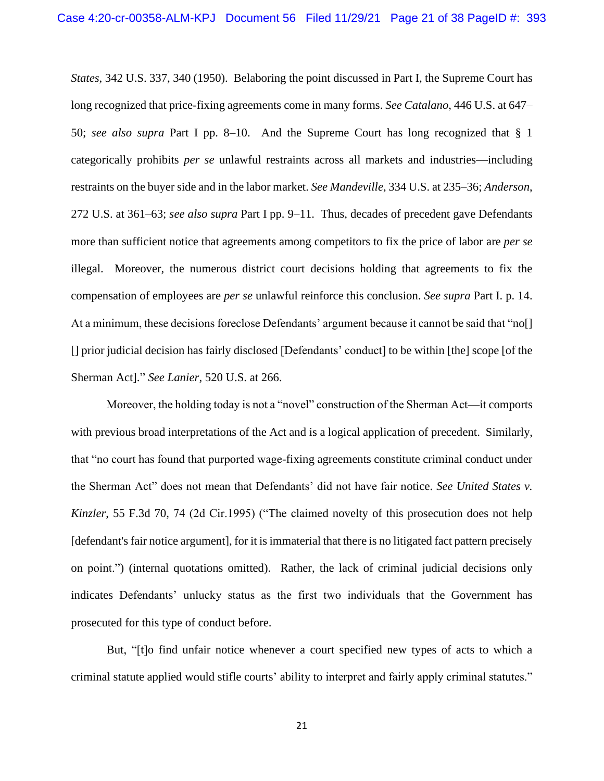*States*, 342 U.S. 337, 340 (1950). Belaboring the point discussed in Part I, the Supreme Court has long recognized that price-fixing agreements come in many forms. *See Catalano*, 446 U.S. at 647– 50; *see also supra* Part I pp. 8–10. And the Supreme Court has long recognized that § 1 categorically prohibits *per se* unlawful restraints across all markets and industries—including restraints on the buyer side and in the labor market. *See Mandeville*, 334 U.S. at 235–36; *Anderson*, 272 U.S. at 361–63; *see also supra* Part I pp. 9–11. Thus, decades of precedent gave Defendants more than sufficient notice that agreements among competitors to fix the price of labor are *per se* illegal. Moreover, the numerous district court decisions holding that agreements to fix the compensation of employees are *per se* unlawful reinforce this conclusion. *See supra* Part I. p. 14. At a minimum, these decisions foreclose Defendants' argument because it cannot be said that "no[] [] prior judicial decision has fairly disclosed [Defendants' conduct] to be within [the] scope [of the Sherman Act]." *See Lanier*, 520 U.S. at 266.

Moreover, the holding today is not a "novel" construction of the Sherman Act—it comports with previous broad interpretations of the Act and is a logical application of precedent. Similarly, that "no court has found that purported wage-fixing agreements constitute criminal conduct under the Sherman Act" does not mean that Defendants' did not have fair notice. *See United States v. Kinzler*, 55 F.3d 70, 74 (2d Cir.1995) ("The claimed novelty of this prosecution does not help [defendant's fair notice argument], for it is immaterial that there is no litigated fact pattern precisely on point.") (internal quotations omitted). Rather, the lack of criminal judicial decisions only indicates Defendants' unlucky status as the first two individuals that the Government has prosecuted for this type of conduct before.

But, "[t]o find unfair notice whenever a court specified new types of acts to which a criminal statute applied would stifle courts' ability to interpret and fairly apply criminal statutes."

21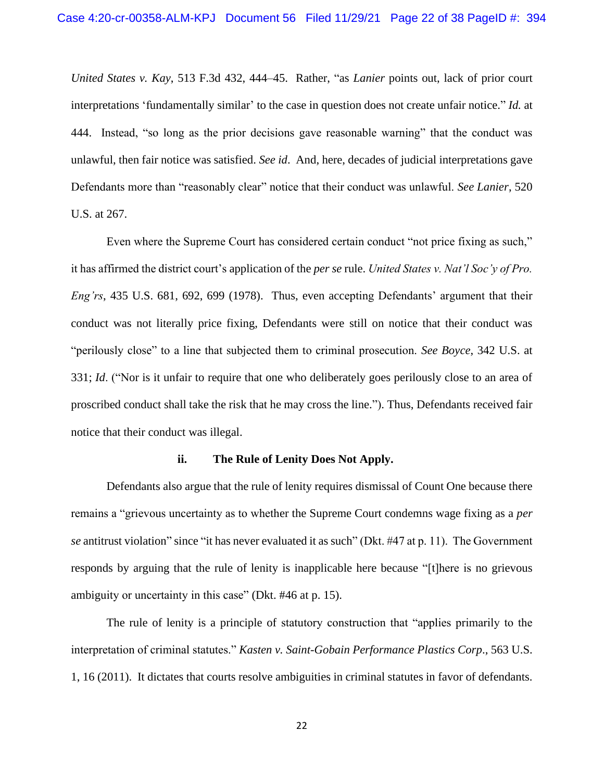*United States v. Kay*, 513 F.3d 432, 444–45. Rather, "as *Lanier* points out, lack of prior court interpretations 'fundamentally similar' to the case in question does not create unfair notice." *Id.* at 444. Instead, "so long as the prior decisions gave reasonable warning" that the conduct was unlawful, then fair notice was satisfied. *See id*. And, here, decades of judicial interpretations gave Defendants more than "reasonably clear" notice that their conduct was unlawful. *See Lanier*, 520 U.S. at 267.

Even where the Supreme Court has considered certain conduct "not price fixing as such," it has affirmed the district court's application of the *per se* rule. *United States v. Nat'l Soc'y of Pro. Eng'rs*, 435 U.S. 681, 692, 699 (1978). Thus, even accepting Defendants' argument that their conduct was not literally price fixing, Defendants were still on notice that their conduct was "perilously close" to a line that subjected them to criminal prosecution. *See Boyce*, 342 U.S. at 331; *Id*. ("Nor is it unfair to require that one who deliberately goes perilously close to an area of proscribed conduct shall take the risk that he may cross the line."). Thus, Defendants received fair notice that their conduct was illegal.

## **ii. The Rule of Lenity Does Not Apply.**

Defendants also argue that the rule of lenity requires dismissal of Count One because there remains a "grievous uncertainty as to whether the Supreme Court condemns wage fixing as a *per se* antitrust violation" since "it has never evaluated it as such" (Dkt. #47 at p. 11). The Government responds by arguing that the rule of lenity is inapplicable here because "[t]here is no grievous ambiguity or uncertainty in this case" (Dkt. #46 at p. 15).

The rule of lenity is a principle of statutory construction that "applies primarily to the interpretation of criminal statutes." *Kasten v. Saint-Gobain Performance Plastics Corp*., 563 U.S. 1, 16 (2011). It dictates that courts resolve ambiguities in criminal statutes in favor of defendants.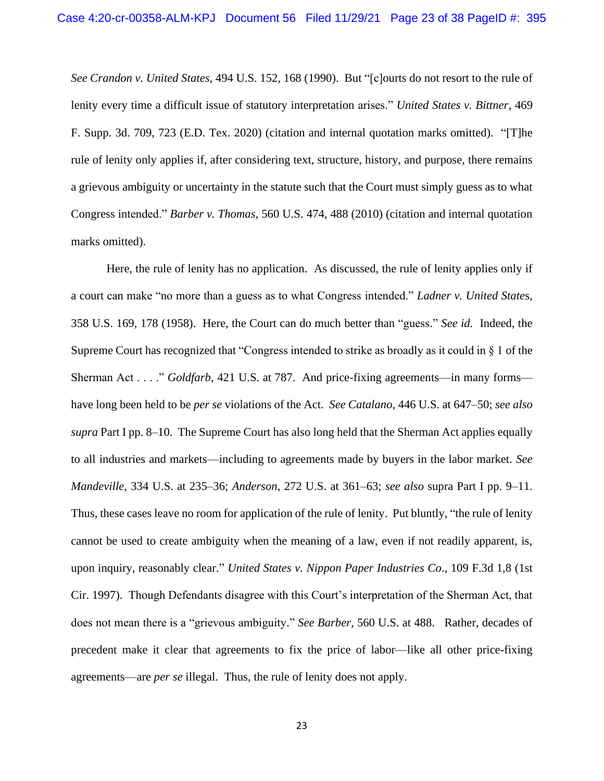*See Crandon v. United States*, 494 U.S. 152, 168 (1990). But "[c]ourts do not resort to the rule of lenity every time a difficult issue of statutory interpretation arises." *United States v. Bittner*, 469 F. Supp. 3d. 709, 723 (E.D. Tex. 2020) (citation and internal quotation marks omitted). "[T]he rule of lenity only applies if, after considering text, structure, history, and purpose, there remains a grievous ambiguity or uncertainty in the statute such that the Court must simply guess as to what Congress intended." *Barber v. Thomas*, 560 U.S. 474, 488 (2010) (citation and internal quotation marks omitted).

Here, the rule of lenity has no application. As discussed, the rule of lenity applies only if a court can make "no more than a guess as to what Congress intended." *Ladner v. United State*s, 358 U.S. 169, 178 (1958). Here, the Court can do much better than "guess." *See id.* Indeed, the Supreme Court has recognized that "Congress intended to strike as broadly as it could in § 1 of the Sherman Act . . . ." *Goldfarb*, 421 U.S. at 787. And price-fixing agreements—in many forms have long been held to be *per se* violations of the Act. *See Catalano*, 446 U.S. at 647–50; *see also supra* Part I pp. 8–10. The Supreme Court has also long held that the Sherman Act applies equally to all industries and markets—including to agreements made by buyers in the labor market. *See Mandeville*, 334 U.S. at 235–36; *Anderson*, 272 U.S. at 361–63; *see also* supra Part I pp. 9–11. Thus, these cases leave no room for application of the rule of lenity. Put bluntly, "the rule of lenity cannot be used to create ambiguity when the meaning of a law, even if not readily apparent, is, upon inquiry, reasonably clear." *United States v. Nippon Paper Industries Co*., 109 F.3d 1,8 (1st Cir. 1997). Though Defendants disagree with this Court's interpretation of the Sherman Act, that does not mean there is a "grievous ambiguity." *See Barber*, 560 U.S. at 488. Rather, decades of precedent make it clear that agreements to fix the price of labor—like all other price-fixing agreements—are *per se* illegal. Thus, the rule of lenity does not apply.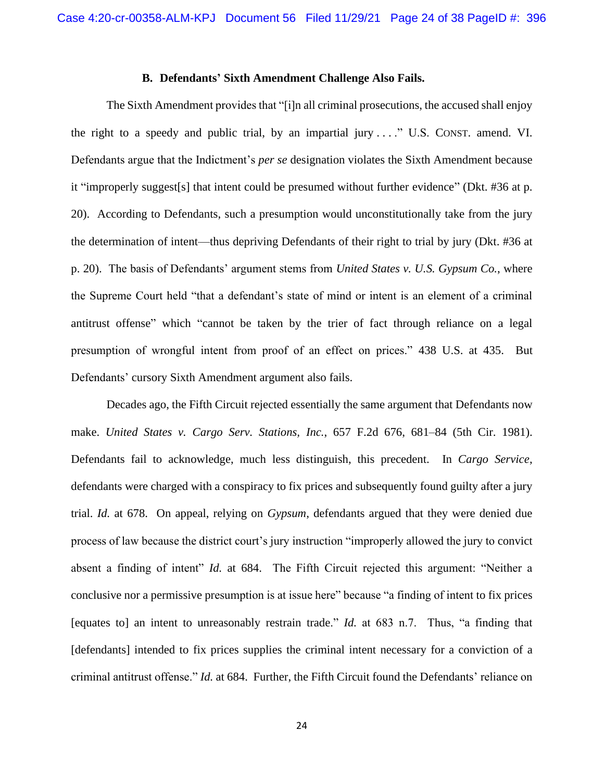## **B. Defendants' Sixth Amendment Challenge Also Fails.**

The Sixth Amendment provides that "[i]n all criminal prosecutions, the accused shall enjoy the right to a speedy and public trial, by an impartial jury  $\dots$ ." U.S. CONST. amend. VI. Defendants argue that the Indictment's *per se* designation violates the Sixth Amendment because it "improperly suggest[s] that intent could be presumed without further evidence" (Dkt. #36 at p. 20). According to Defendants, such a presumption would unconstitutionally take from the jury the determination of intent—thus depriving Defendants of their right to trial by jury (Dkt. #36 at p. 20). The basis of Defendants' argument stems from *United States v. U.S. Gypsum Co.*, where the Supreme Court held "that a defendant's state of mind or intent is an element of a criminal antitrust offense" which "cannot be taken by the trier of fact through reliance on a legal presumption of wrongful intent from proof of an effect on prices." 438 U.S. at 435. But Defendants' cursory Sixth Amendment argument also fails.

Decades ago, the Fifth Circuit rejected essentially the same argument that Defendants now make. *United States v. Cargo Serv. Stations, Inc.*, 657 F.2d 676, 681–84 (5th Cir. 1981). Defendants fail to acknowledge, much less distinguish, this precedent. In *Cargo Service*, defendants were charged with a conspiracy to fix prices and subsequently found guilty after a jury trial. *Id.* at 678. On appeal, relying on *Gypsum*, defendants argued that they were denied due process of law because the district court's jury instruction "improperly allowed the jury to convict absent a finding of intent" *Id.* at 684. The Fifth Circuit rejected this argument: "Neither a conclusive nor a permissive presumption is at issue here" because "a finding of intent to fix prices [equates to] an intent to unreasonably restrain trade." *Id.* at 683 n.7. Thus, "a finding that [defendants] intended to fix prices supplies the criminal intent necessary for a conviction of a criminal antitrust offense." *Id.* at 684. Further, the Fifth Circuit found the Defendants' reliance on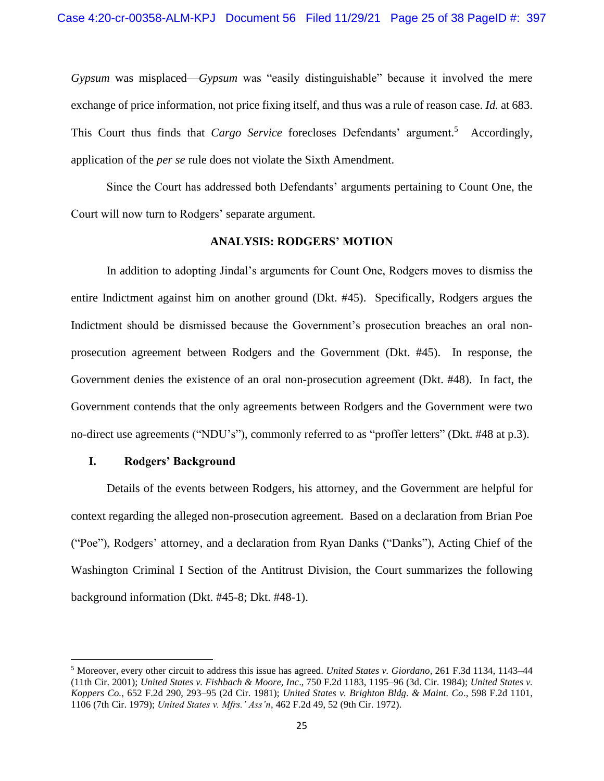*Gypsum* was misplaced—*Gypsum* was "easily distinguishable" because it involved the mere exchange of price information, not price fixing itself, and thus was a rule of reason case. *Id.* at 683. This Court thus finds that *Cargo Service* forecloses Defendants' argument.<sup>5</sup> Accordingly, application of the *per se* rule does not violate the Sixth Amendment.

Since the Court has addressed both Defendants' arguments pertaining to Count One, the Court will now turn to Rodgers' separate argument.

## **ANALYSIS: RODGERS' MOTION**

In addition to adopting Jindal's arguments for Count One, Rodgers moves to dismiss the entire Indictment against him on another ground (Dkt. #45). Specifically, Rodgers argues the Indictment should be dismissed because the Government's prosecution breaches an oral nonprosecution agreement between Rodgers and the Government (Dkt. #45). In response, the Government denies the existence of an oral non-prosecution agreement (Dkt. #48). In fact, the Government contends that the only agreements between Rodgers and the Government were two no-direct use agreements ("NDU's"), commonly referred to as "proffer letters" (Dkt. #48 at p.3).

# **I. Rodgers' Background**

Details of the events between Rodgers, his attorney, and the Government are helpful for context regarding the alleged non-prosecution agreement. Based on a declaration from Brian Poe ("Poe"), Rodgers' attorney, and a declaration from Ryan Danks ("Danks"), Acting Chief of the Washington Criminal I Section of the Antitrust Division, the Court summarizes the following background information (Dkt. #45-8; Dkt. #48-1).

<sup>5</sup> Moreover, every other circuit to address this issue has agreed. *United States v. Giordano*, 261 F.3d 1134, 1143–44 (11th Cir. 2001); *United States v. Fishbach & Moore, Inc*., 750 F.2d 1183, 1195–96 (3d. Cir. 1984); *United States v. Koppers Co.*, 652 F.2d 290, 293–95 (2d Cir. 1981); *United States v. Brighton Bldg. & Maint. Co*., 598 F.2d 1101, 1106 (7th Cir. 1979); *United States v. Mfrs.' Ass'n*, 462 F.2d 49, 52 (9th Cir. 1972).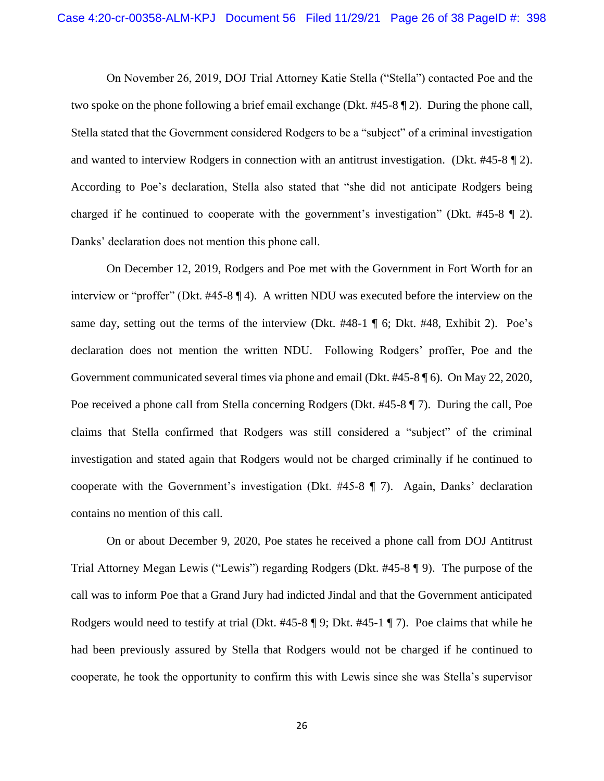On November 26, 2019, DOJ Trial Attorney Katie Stella ("Stella") contacted Poe and the two spoke on the phone following a brief email exchange (Dkt. #45-8 ¶ 2). During the phone call, Stella stated that the Government considered Rodgers to be a "subject" of a criminal investigation and wanted to interview Rodgers in connection with an antitrust investigation. (Dkt. #45-8 ¶ 2). According to Poe's declaration, Stella also stated that "she did not anticipate Rodgers being charged if he continued to cooperate with the government's investigation" (Dkt. #45-8 ¶ 2). Danks' declaration does not mention this phone call.

On December 12, 2019, Rodgers and Poe met with the Government in Fort Worth for an interview or "proffer" (Dkt. #45-8 ¶ 4). A written NDU was executed before the interview on the same day, setting out the terms of the interview (Dkt. #48-1 ¶ 6; Dkt. #48, Exhibit 2). Poe's declaration does not mention the written NDU. Following Rodgers' proffer, Poe and the Government communicated several times via phone and email (Dkt. #45-8 ¶ 6). On May 22, 2020, Poe received a phone call from Stella concerning Rodgers (Dkt. #45-8 ¶ 7). During the call, Poe claims that Stella confirmed that Rodgers was still considered a "subject" of the criminal investigation and stated again that Rodgers would not be charged criminally if he continued to cooperate with the Government's investigation (Dkt. #45-8 ¶ 7). Again, Danks' declaration contains no mention of this call.

On or about December 9, 2020, Poe states he received a phone call from DOJ Antitrust Trial Attorney Megan Lewis ("Lewis") regarding Rodgers (Dkt. #45-8 ¶ 9). The purpose of the call was to inform Poe that a Grand Jury had indicted Jindal and that the Government anticipated Rodgers would need to testify at trial (Dkt. #45-8 ¶ 9; Dkt. #45-1 ¶ 7). Poe claims that while he had been previously assured by Stella that Rodgers would not be charged if he continued to cooperate, he took the opportunity to confirm this with Lewis since she was Stella's supervisor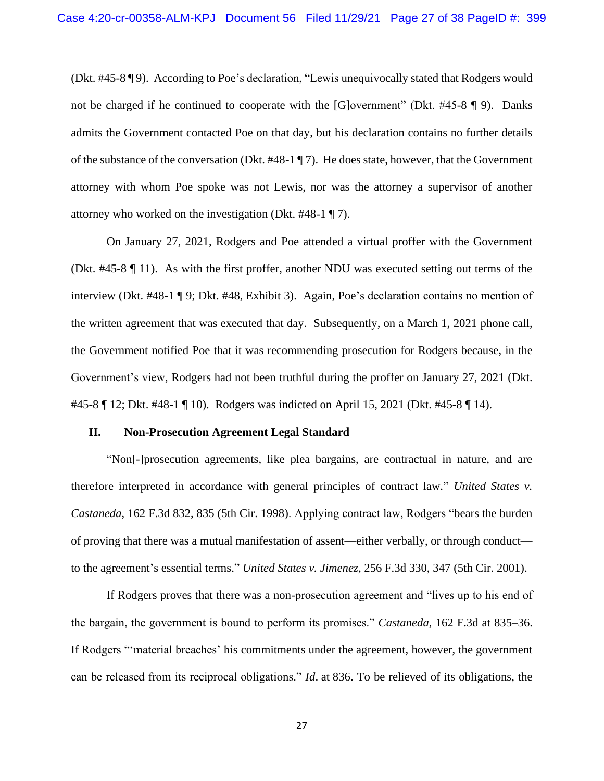(Dkt. #45-8 ¶ 9). According to Poe's declaration, "Lewis unequivocally stated that Rodgers would not be charged if he continued to cooperate with the [G]overnment" (Dkt. #45-8 ¶ 9). Danks admits the Government contacted Poe on that day, but his declaration contains no further details of the substance of the conversation (Dkt. #48-1 ¶ 7). He does state, however, that the Government attorney with whom Poe spoke was not Lewis, nor was the attorney a supervisor of another attorney who worked on the investigation (Dkt. #48-1 ¶ 7).

On January 27, 2021, Rodgers and Poe attended a virtual proffer with the Government (Dkt. #45-8 ¶ 11). As with the first proffer, another NDU was executed setting out terms of the interview (Dkt. #48-1 ¶ 9; Dkt. #48, Exhibit 3). Again, Poe's declaration contains no mention of the written agreement that was executed that day. Subsequently, on a March 1, 2021 phone call, the Government notified Poe that it was recommending prosecution for Rodgers because, in the Government's view, Rodgers had not been truthful during the proffer on January 27, 2021 (Dkt. #45-8 ¶ 12; Dkt. #48-1 ¶ 10). Rodgers was indicted on April 15, 2021 (Dkt. #45-8 ¶ 14).

#### **II. Non-Prosecution Agreement Legal Standard**

"Non[-]prosecution agreements, like plea bargains, are contractual in nature, and are therefore interpreted in accordance with general principles of contract law." *United States v. Castaneda*, 162 F.3d 832, 835 (5th Cir. 1998). Applying contract law, Rodgers "bears the burden of proving that there was a mutual manifestation of assent—either verbally, or through conduct to the agreement's essential terms." *United States v. Jimenez*, 256 F.3d 330, 347 (5th Cir. 2001).

If Rodgers proves that there was a non-prosecution agreement and "lives up to his end of the bargain, the government is bound to perform its promises." *Castaneda*, 162 F.3d at 835–36. If Rodgers "'material breaches' his commitments under the agreement, however, the government can be released from its reciprocal obligations." *Id*. at 836. To be relieved of its obligations, the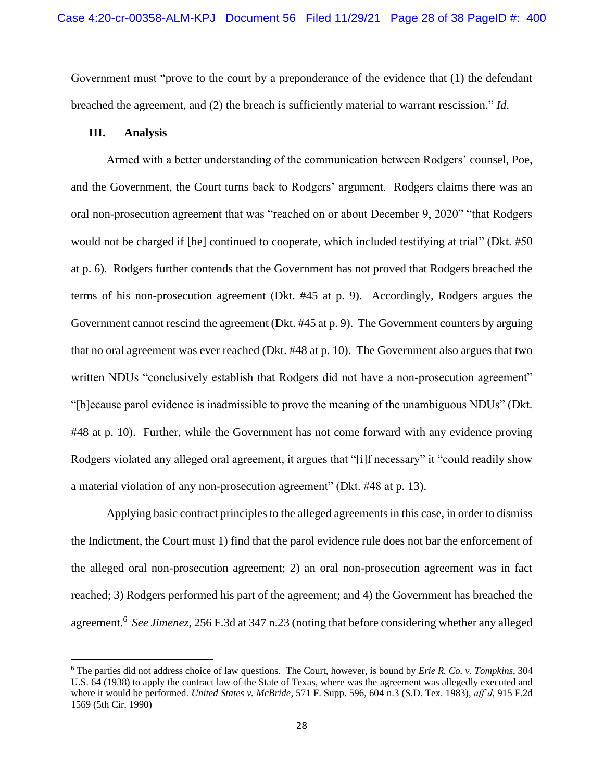Government must "prove to the court by a preponderance of the evidence that (1) the defendant breached the agreement, and (2) the breach is sufficiently material to warrant rescission." *Id*.

## **III. Analysis**

Armed with a better understanding of the communication between Rodgers' counsel, Poe, and the Government, the Court turns back to Rodgers' argument. Rodgers claims there was an oral non-prosecution agreement that was "reached on or about December 9, 2020" "that Rodgers would not be charged if [he] continued to cooperate, which included testifying at trial" (Dkt. #50 at p. 6). Rodgers further contends that the Government has not proved that Rodgers breached the terms of his non-prosecution agreement (Dkt. #45 at p. 9). Accordingly, Rodgers argues the Government cannot rescind the agreement (Dkt. #45 at p. 9). The Government counters by arguing that no oral agreement was ever reached (Dkt. #48 at p. 10). The Government also argues that two written NDUs "conclusively establish that Rodgers did not have a non-prosecution agreement" "[b]ecause parol evidence is inadmissible to prove the meaning of the unambiguous NDUs" (Dkt. #48 at p. 10). Further, while the Government has not come forward with any evidence proving Rodgers violated any alleged oral agreement, it argues that "[i]f necessary" it "could readily show a material violation of any non-prosecution agreement" (Dkt. #48 at p. 13).

Applying basic contract principles to the alleged agreements in this case, in order to dismiss the Indictment, the Court must 1) find that the parol evidence rule does not bar the enforcement of the alleged oral non-prosecution agreement; 2) an oral non-prosecution agreement was in fact reached; 3) Rodgers performed his part of the agreement; and 4) the Government has breached the agreement.<sup>6</sup> *See Jimenez*, 256 F.3d at 347 n.23 (noting that before considering whether any alleged

<sup>6</sup> The parties did not address choice of law questions. The Court, however, is bound by *Erie R. Co. v. Tompkins*, 304 U.S. 64 (1938) to apply the contract law of the State of Texas, where was the agreement was allegedly executed and where it would be performed. *United States v. McBride*, 571 F. Supp. 596, 604 n.3 (S.D. Tex. 1983), *aff'd*, 915 F.2d 1569 (5th Cir. 1990)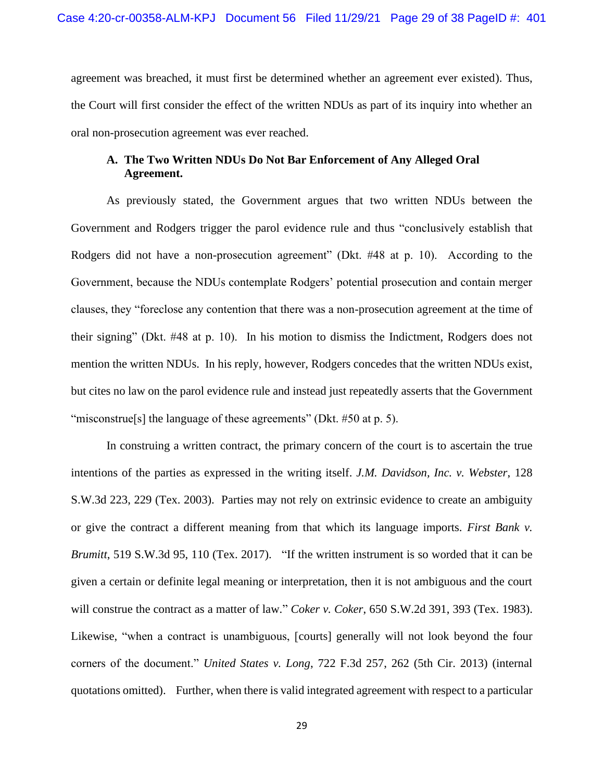agreement was breached, it must first be determined whether an agreement ever existed). Thus, the Court will first consider the effect of the written NDUs as part of its inquiry into whether an oral non-prosecution agreement was ever reached.

# **A. The Two Written NDUs Do Not Bar Enforcement of Any Alleged Oral Agreement.**

As previously stated, the Government argues that two written NDUs between the Government and Rodgers trigger the parol evidence rule and thus "conclusively establish that Rodgers did not have a non-prosecution agreement" (Dkt. #48 at p. 10). According to the Government, because the NDUs contemplate Rodgers' potential prosecution and contain merger clauses, they "foreclose any contention that there was a non-prosecution agreement at the time of their signing" (Dkt. #48 at p. 10). In his motion to dismiss the Indictment, Rodgers does not mention the written NDUs. In his reply, however, Rodgers concedes that the written NDUs exist, but cites no law on the parol evidence rule and instead just repeatedly asserts that the Government "misconstrue<sup>[s]</sup> the language of these agreements" (Dkt. #50 at p. 5).

In construing a written contract, the primary concern of the court is to ascertain the true intentions of the parties as expressed in the writing itself. *J.M. Davidson, Inc. v. Webster*, 128 S.W.3d 223, 229 (Tex. 2003). Parties may not rely on extrinsic evidence to create an ambiguity or give the contract a different meaning from that which its language imports. *First Bank v. Brumitt*, 519 S.W.3d 95, 110 (Tex. 2017). "If the written instrument is so worded that it can be given a certain or definite legal meaning or interpretation, then it is not ambiguous and the court will construe the contract as a matter of law." *Coker v. Coker*, 650 S.W.2d 391, 393 (Tex. 1983). Likewise, "when a contract is unambiguous, [courts] generally will not look beyond the four corners of the document." *United States v. Long*, 722 F.3d 257, 262 (5th Cir. 2013) (internal quotations omitted). Further, when there is valid integrated agreement with respect to a particular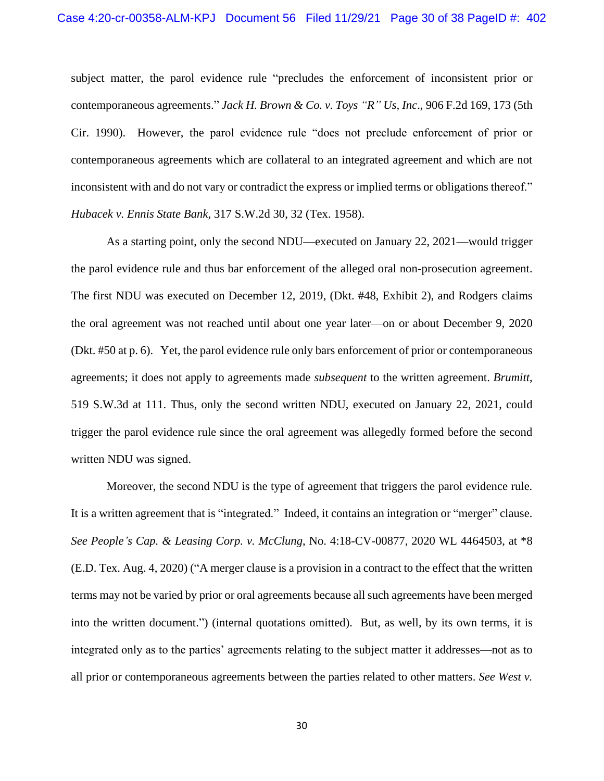subject matter, the parol evidence rule "precludes the enforcement of inconsistent prior or contemporaneous agreements." *Jack H. Brown & Co. v. Toys "R" Us, Inc*., 906 F.2d 169, 173 (5th Cir. 1990). However, the parol evidence rule "does not preclude enforcement of prior or contemporaneous agreements which are collateral to an integrated agreement and which are not inconsistent with and do not vary or contradict the express or implied terms or obligations thereof." *Hubacek v. Ennis State Bank*, 317 S.W.2d 30, 32 (Tex. 1958).

As a starting point, only the second NDU—executed on January 22, 2021—would trigger the parol evidence rule and thus bar enforcement of the alleged oral non-prosecution agreement. The first NDU was executed on December 12, 2019, (Dkt. #48, Exhibit 2), and Rodgers claims the oral agreement was not reached until about one year later—on or about December 9, 2020 (Dkt. #50 at p. 6). Yet, the parol evidence rule only bars enforcement of prior or contemporaneous agreements; it does not apply to agreements made *subsequent* to the written agreement. *Brumitt*, 519 S.W.3d at 111. Thus, only the second written NDU, executed on January 22, 2021, could trigger the parol evidence rule since the oral agreement was allegedly formed before the second written NDU was signed.

Moreover, the second NDU is the type of agreement that triggers the parol evidence rule. It is a written agreement that is "integrated." Indeed, it contains an integration or "merger" clause. *See People's Cap. & Leasing Corp. v. McClung*, No. 4:18-CV-00877, 2020 WL 4464503, at \*8 (E.D. Tex. Aug. 4, 2020) ("A merger clause is a provision in a contract to the effect that the written terms may not be varied by prior or oral agreements because all such agreements have been merged into the written document.") (internal quotations omitted). But, as well, by its own terms, it is integrated only as to the parties' agreements relating to the subject matter it addresses—not as to all prior or contemporaneous agreements between the parties related to other matters. *See West v.*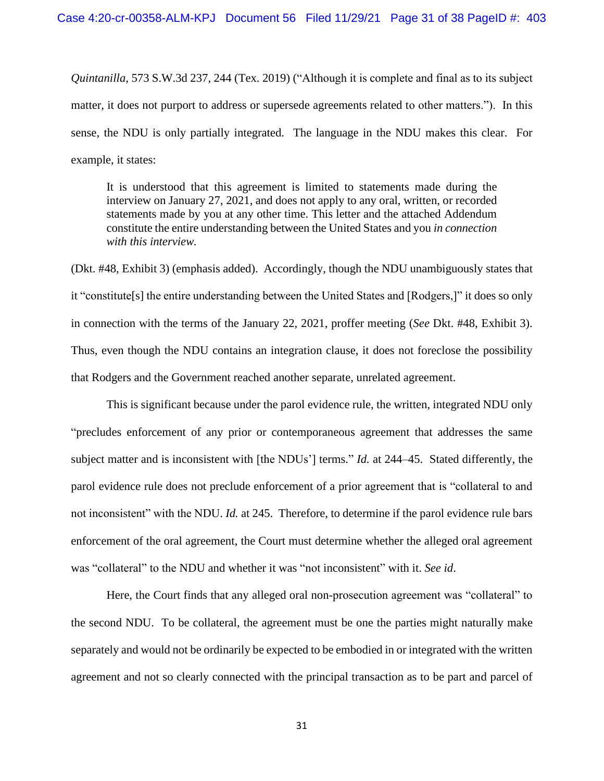*Quintanilla*, 573 S.W.3d 237, 244 (Tex. 2019) ("Although it is complete and final as to its subject matter, it does not purport to address or supersede agreements related to other matters."). In this sense, the NDU is only partially integrated. The language in the NDU makes this clear. For example, it states:

It is understood that this agreement is limited to statements made during the interview on January 27, 2021, and does not apply to any oral, written, or recorded statements made by you at any other time. This letter and the attached Addendum constitute the entire understanding between the United States and you *in connection with this interview.*

(Dkt. #48, Exhibit 3) (emphasis added). Accordingly, though the NDU unambiguously states that it "constitute[s] the entire understanding between the United States and [Rodgers,]" it does so only in connection with the terms of the January 22, 2021, proffer meeting (*See* Dkt. #48, Exhibit 3). Thus, even though the NDU contains an integration clause, it does not foreclose the possibility that Rodgers and the Government reached another separate, unrelated agreement.

This is significant because under the parol evidence rule, the written, integrated NDU only "precludes enforcement of any prior or contemporaneous agreement that addresses the same subject matter and is inconsistent with [the NDUs'] terms." *Id.* at 244–45. Stated differently, the parol evidence rule does not preclude enforcement of a prior agreement that is "collateral to and not inconsistent" with the NDU. *Id.* at 245. Therefore, to determine if the parol evidence rule bars enforcement of the oral agreement, the Court must determine whether the alleged oral agreement was "collateral" to the NDU and whether it was "not inconsistent" with it. *See id*.

Here, the Court finds that any alleged oral non-prosecution agreement was "collateral" to the second NDU. To be collateral, the agreement must be one the parties might naturally make separately and would not be ordinarily be expected to be embodied in or integrated with the written agreement and not so clearly connected with the principal transaction as to be part and parcel of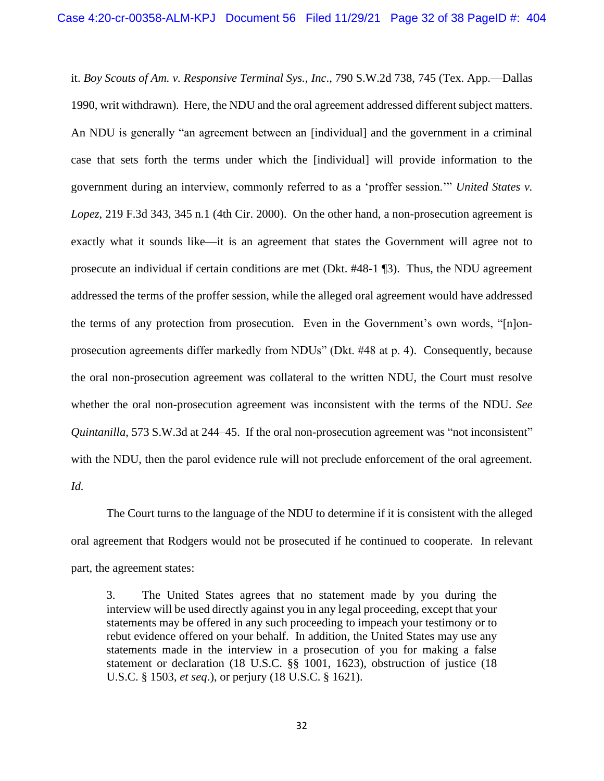it. *Boy Scouts of Am. v. Responsive Terminal Sys., Inc*., 790 S.W.2d 738, 745 (Tex. App.—Dallas 1990, writ withdrawn). Here, the NDU and the oral agreement addressed different subject matters. An NDU is generally "an agreement between an [individual] and the government in a criminal case that sets forth the terms under which the [individual] will provide information to the government during an interview, commonly referred to as a 'proffer session.'" *United States v. Lopez*, 219 F.3d 343, 345 n.1 (4th Cir. 2000). On the other hand, a non-prosecution agreement is exactly what it sounds like—it is an agreement that states the Government will agree not to prosecute an individual if certain conditions are met (Dkt. #48-1 ¶3). Thus, the NDU agreement addressed the terms of the proffer session, while the alleged oral agreement would have addressed the terms of any protection from prosecution. Even in the Government's own words, "[n]onprosecution agreements differ markedly from NDUs" (Dkt. #48 at p. 4). Consequently, because the oral non-prosecution agreement was collateral to the written NDU, the Court must resolve whether the oral non-prosecution agreement was inconsistent with the terms of the NDU. *See Quintanilla*, 573 S.W.3d at 244–45. If the oral non-prosecution agreement was "not inconsistent" with the NDU, then the parol evidence rule will not preclude enforcement of the oral agreement. *Id.*

The Court turns to the language of the NDU to determine if it is consistent with the alleged oral agreement that Rodgers would not be prosecuted if he continued to cooperate. In relevant part, the agreement states:

3. The United States agrees that no statement made by you during the interview will be used directly against you in any legal proceeding, except that your statements may be offered in any such proceeding to impeach your testimony or to rebut evidence offered on your behalf. In addition, the United States may use any statements made in the interview in a prosecution of you for making a false statement or declaration (18 U.S.C. §§ 1001, 1623), obstruction of justice (18 U.S.C. § 1503, *et seq*.), or perjury (18 U.S.C. § 1621).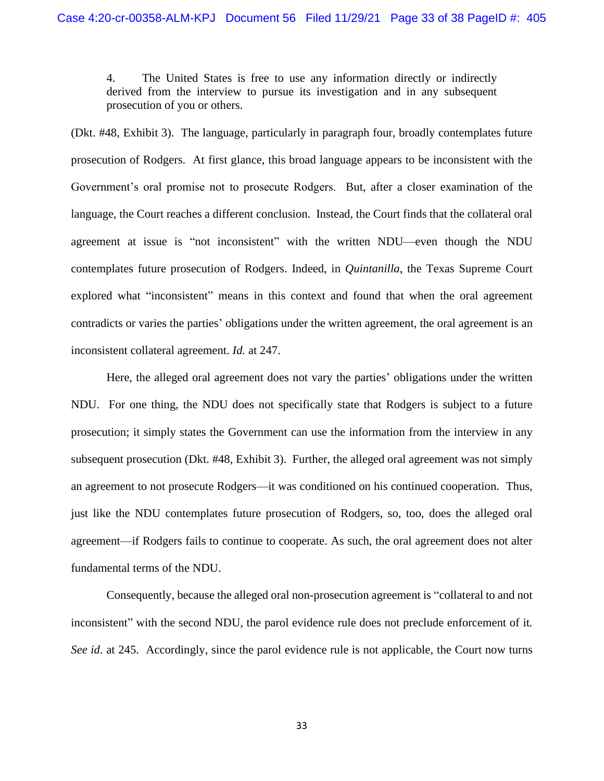4. The United States is free to use any information directly or indirectly derived from the interview to pursue its investigation and in any subsequent prosecution of you or others.

(Dkt. #48, Exhibit 3). The language, particularly in paragraph four, broadly contemplates future prosecution of Rodgers. At first glance, this broad language appears to be inconsistent with the Government's oral promise not to prosecute Rodgers. But, after a closer examination of the language, the Court reaches a different conclusion. Instead, the Court finds that the collateral oral agreement at issue is "not inconsistent" with the written NDU—even though the NDU contemplates future prosecution of Rodgers. Indeed, in *Quintanilla*, the Texas Supreme Court explored what "inconsistent" means in this context and found that when the oral agreement contradicts or varies the parties' obligations under the written agreement, the oral agreement is an inconsistent collateral agreement. *Id.* at 247.

Here, the alleged oral agreement does not vary the parties' obligations under the written NDU. For one thing, the NDU does not specifically state that Rodgers is subject to a future prosecution; it simply states the Government can use the information from the interview in any subsequent prosecution (Dkt. #48, Exhibit 3). Further, the alleged oral agreement was not simply an agreement to not prosecute Rodgers—it was conditioned on his continued cooperation. Thus, just like the NDU contemplates future prosecution of Rodgers, so, too, does the alleged oral agreement—if Rodgers fails to continue to cooperate. As such, the oral agreement does not alter fundamental terms of the NDU.

Consequently, because the alleged oral non-prosecution agreement is "collateral to and not inconsistent" with the second NDU, the parol evidence rule does not preclude enforcement of it*. See id*. at 245. Accordingly, since the parol evidence rule is not applicable, the Court now turns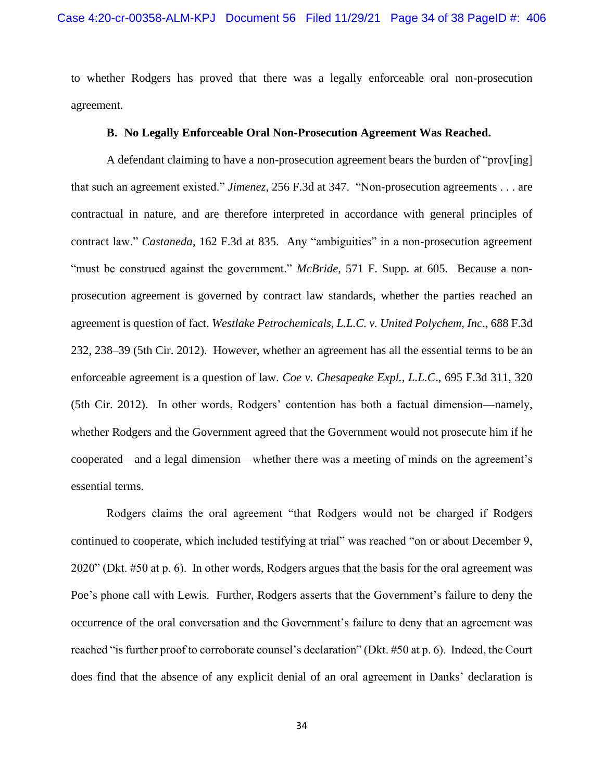to whether Rodgers has proved that there was a legally enforceable oral non-prosecution agreement.

### **B. No Legally Enforceable Oral Non-Prosecution Agreement Was Reached.**

A defendant claiming to have a non-prosecution agreement bears the burden of "prov[ing] that such an agreement existed." *Jimenez*, 256 F.3d at 347. "Non-prosecution agreements . . . are contractual in nature, and are therefore interpreted in accordance with general principles of contract law." *Castaneda*, 162 F.3d at 835. Any "ambiguities" in a non-prosecution agreement "must be construed against the government." *McBride*, 571 F. Supp. at 605. Because a nonprosecution agreement is governed by contract law standards, whether the parties reached an agreement is question of fact. *Westlake Petrochemicals, L.L.C. v. United Polychem, Inc*., 688 F.3d 232, 238–39 (5th Cir. 2012). However, whether an agreement has all the essential terms to be an enforceable agreement is a question of law. *Coe v. Chesapeake Expl., L.L.C*., 695 F.3d 311, 320 (5th Cir. 2012). In other words, Rodgers' contention has both a factual dimension—namely, whether Rodgers and the Government agreed that the Government would not prosecute him if he cooperated—and a legal dimension—whether there was a meeting of minds on the agreement's essential terms.

Rodgers claims the oral agreement "that Rodgers would not be charged if Rodgers continued to cooperate, which included testifying at trial" was reached "on or about December 9, 2020" (Dkt. #50 at p. 6). In other words, Rodgers argues that the basis for the oral agreement was Poe's phone call with Lewis. Further, Rodgers asserts that the Government's failure to deny the occurrence of the oral conversation and the Government's failure to deny that an agreement was reached "is further proof to corroborate counsel's declaration" (Dkt. #50 at p. 6). Indeed, the Court does find that the absence of any explicit denial of an oral agreement in Danks' declaration is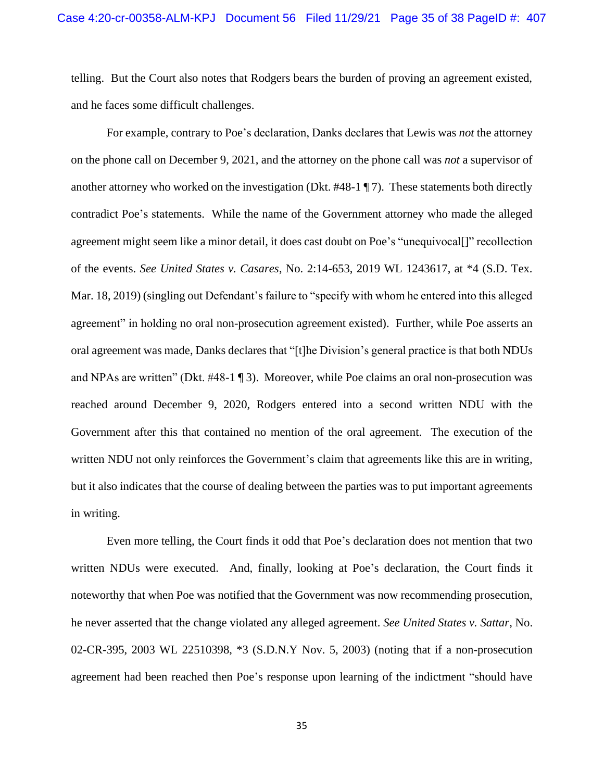telling. But the Court also notes that Rodgers bears the burden of proving an agreement existed, and he faces some difficult challenges.

For example, contrary to Poe's declaration, Danks declares that Lewis was *not* the attorney on the phone call on December 9, 2021, and the attorney on the phone call was *not* a supervisor of another attorney who worked on the investigation (Dkt. #48-1 ¶ 7). These statements both directly contradict Poe's statements. While the name of the Government attorney who made the alleged agreement might seem like a minor detail, it does cast doubt on Poe's "unequivocal[]" recollection of the events. *See United States v. Casares*, No. 2:14-653, 2019 WL 1243617, at \*4 (S.D. Tex. Mar. 18, 2019) (singling out Defendant's failure to "specify with whom he entered into this alleged agreement" in holding no oral non-prosecution agreement existed). Further, while Poe asserts an oral agreement was made, Danks declares that "[t]he Division's general practice is that both NDUs and NPAs are written" (Dkt. #48-1 ¶ 3). Moreover, while Poe claims an oral non-prosecution was reached around December 9, 2020, Rodgers entered into a second written NDU with the Government after this that contained no mention of the oral agreement. The execution of the written NDU not only reinforces the Government's claim that agreements like this are in writing, but it also indicates that the course of dealing between the parties was to put important agreements in writing.

Even more telling, the Court finds it odd that Poe's declaration does not mention that two written NDUs were executed. And, finally, looking at Poe's declaration, the Court finds it noteworthy that when Poe was notified that the Government was now recommending prosecution, he never asserted that the change violated any alleged agreement. *See United States v. Sattar*, No. 02-CR-395, 2003 WL 22510398, \*3 (S.D.N.Y Nov. 5, 2003) (noting that if a non-prosecution agreement had been reached then Poe's response upon learning of the indictment "should have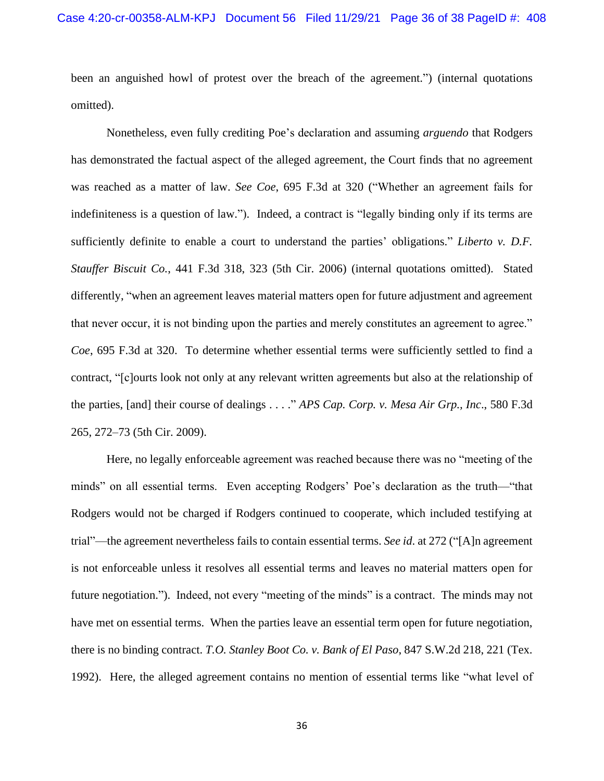been an anguished howl of protest over the breach of the agreement.") (internal quotations omitted).

Nonetheless, even fully crediting Poe's declaration and assuming *arguendo* that Rodgers has demonstrated the factual aspect of the alleged agreement, the Court finds that no agreement was reached as a matter of law. *See Coe*, 695 F.3d at 320 ("Whether an agreement fails for indefiniteness is a question of law."). Indeed, a contract is "legally binding only if its terms are sufficiently definite to enable a court to understand the parties' obligations." *Liberto v. D.F. Stauffer Biscuit Co.*, 441 F.3d 318, 323 (5th Cir. 2006) (internal quotations omitted). Stated differently, "when an agreement leaves material matters open for future adjustment and agreement that never occur, it is not binding upon the parties and merely constitutes an agreement to agree." *Coe*, 695 F.3d at 320. To determine whether essential terms were sufficiently settled to find a contract, "[c]ourts look not only at any relevant written agreements but also at the relationship of the parties, [and] their course of dealings . . . ." *APS Cap. Corp. v. Mesa Air Grp., Inc*., 580 F.3d 265, 272–73 (5th Cir. 2009).

Here, no legally enforceable agreement was reached because there was no "meeting of the minds" on all essential terms. Even accepting Rodgers' Poe's declaration as the truth—"that Rodgers would not be charged if Rodgers continued to cooperate, which included testifying at trial"—the agreement nevertheless fails to contain essential terms. *See id*. at 272 ("[A]n agreement is not enforceable unless it resolves all essential terms and leaves no material matters open for future negotiation."). Indeed, not every "meeting of the minds" is a contract. The minds may not have met on essential terms. When the parties leave an essential term open for future negotiation, there is no binding contract. *T.O. Stanley Boot Co. v. Bank of El Paso*, 847 S.W.2d 218, 221 (Tex. 1992). Here, the alleged agreement contains no mention of essential terms like "what level of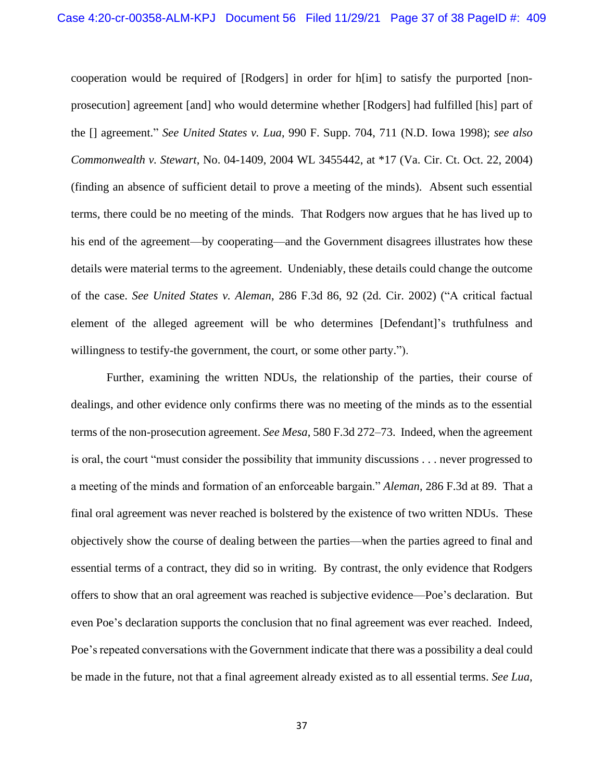cooperation would be required of [Rodgers] in order for h[im] to satisfy the purported [nonprosecution] agreement [and] who would determine whether [Rodgers] had fulfilled [his] part of the [] agreement." *See United States v. Lua*, 990 F. Supp. 704, 711 (N.D. Iowa 1998); *see also Commonwealth v. Stewart*, No. 04-1409, 2004 WL 3455442, at \*17 (Va. Cir. Ct. Oct. 22, 2004) (finding an absence of sufficient detail to prove a meeting of the minds). Absent such essential terms, there could be no meeting of the minds. That Rodgers now argues that he has lived up to his end of the agreement—by cooperating—and the Government disagrees illustrates how these details were material terms to the agreement. Undeniably, these details could change the outcome of the case. *See United States v. Aleman*, 286 F.3d 86, 92 (2d. Cir. 2002) ("A critical factual element of the alleged agreement will be who determines [Defendant]'s truthfulness and willingness to testify-the government, the court, or some other party.").

Further, examining the written NDUs, the relationship of the parties, their course of dealings, and other evidence only confirms there was no meeting of the minds as to the essential terms of the non-prosecution agreement. *See Mesa*, 580 F.3d 272–73. Indeed, when the agreement is oral, the court "must consider the possibility that immunity discussions . . . never progressed to a meeting of the minds and formation of an enforceable bargain." *Aleman*, 286 F.3d at 89. That a final oral agreement was never reached is bolstered by the existence of two written NDUs. These objectively show the course of dealing between the parties—when the parties agreed to final and essential terms of a contract, they did so in writing. By contrast, the only evidence that Rodgers offers to show that an oral agreement was reached is subjective evidence—Poe's declaration. But even Poe's declaration supports the conclusion that no final agreement was ever reached. Indeed, Poe's repeated conversations with the Government indicate that there was a possibility a deal could be made in the future, not that a final agreement already existed as to all essential terms. *See Lua*,